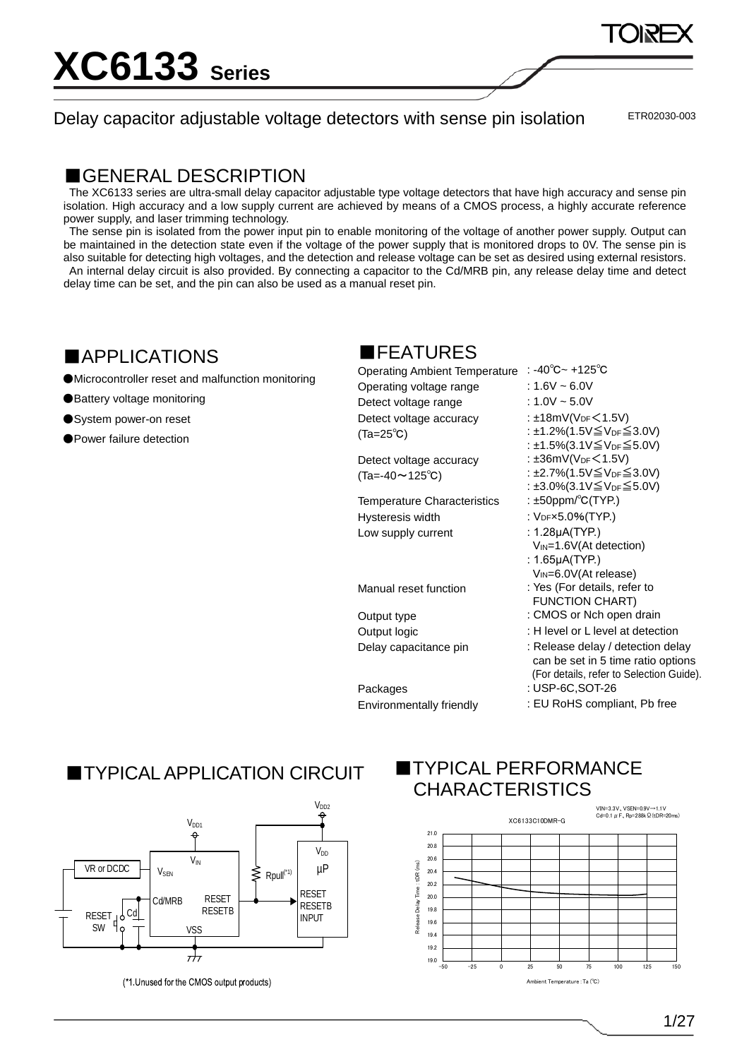Delay capacitor adjustable voltage detectors with sense pin isolation

ETR02030-003

### ■GENERAL DESCRIPTION

The XC6133 series are ultra-small delay capacitor adjustable type voltage detectors that have high accuracy and sense pin isolation. High accuracy and a low supply current are achieved by means of a CMOS process, a highly accurate reference power supply, and laser trimming technology.

The sense pin is isolated from the power input pin to enable monitoring of the voltage of another power supply. Output can be maintained in the detection state even if the voltage of the power supply that is monitored drops to 0V. The sense pin is also suitable for detecting high voltages, and the detection and release voltage can be set as desired using external resistors. An internal delay circuit is also provided. By connecting a capacitor to the Cd/MRB pin, any release delay time and detect delay time can be set, and the pin can also be used as a manual reset pin.

### ■APPLICATIONS

●Microcontroller reset and malfunction monitoring

●Battery voltage monitoring

●System power-on reset

●Power failure detection

## ■FEATURES

| <b>Operating Ambient Temperature</b> | : -40 $^{\circ}$ C ~ +125 $^{\circ}$ C                                                                              |
|--------------------------------------|---------------------------------------------------------------------------------------------------------------------|
| Operating voltage range              | : 1.6V ~ 6.0V                                                                                                       |
| Detect voltage range                 | : $1.0V \sim 5.0V$                                                                                                  |
| Detect voltage accuracy              | : $\pm$ 18mV(V <sub>DF</sub> $\leq$ 1.5V)                                                                           |
| $(Ta=25^{\circ}C)$                   | : ±1.2%(1.5V≦V <sub>DF</sub> ≤ 3.0V)                                                                                |
|                                      | : ±1.5%(3.1V≦V <sub>DF</sub> ≦5.0V)                                                                                 |
| Detect voltage accuracy              | : $\pm 36$ mV(V <sub>DF</sub> $\leq 1.5$ V)                                                                         |
| $(Ta=-40 \sim 125^{\circ}C)$         | : ±2.7%(1.5V $\leq$ V <sub>DF</sub> $\leq$ 3.0V)                                                                    |
|                                      | : ±3.0%(3.1V≦V <sub>DF</sub> ≦5.0V)                                                                                 |
| <b>Temperature Characteristics</b>   | : $\pm 50$ ppm/°C(TYP.)                                                                                             |
| Hysteresis width                     | : V <sub>DF</sub> x5.0%(TYP.)                                                                                       |
| Low supply current                   | : $1.28\mu$ A(TYP.)                                                                                                 |
|                                      | $V_{IN} = 1.6V (At detection)$                                                                                      |
|                                      | : $1.65 \mu A(TYP.)$                                                                                                |
|                                      | $V_{IN}=6.0V(At release)$                                                                                           |
| Manual reset function                | : Yes (For details, refer to                                                                                        |
|                                      | <b>FUNCTION CHART)</b>                                                                                              |
| Output type                          | : CMOS or Nch open drain                                                                                            |
| Output logic                         | : H level or L level at detection                                                                                   |
| Delay capacitance pin                | : Release delay / detection delay<br>can be set in 5 time ratio options<br>(For details, refer to Selection Guide). |
|                                      | 110D, 000T, 00                                                                                                      |

Packages : USP-6C,SOT-26 Environmentally friendly : EU RoHS compliant, Pb free

## **TYPICAL APPLICATION CIRCUIT**



(\*1 Unused for the CMOS output products)

## **TYPICAL PERFORMANCE** CHARACTERISTICS

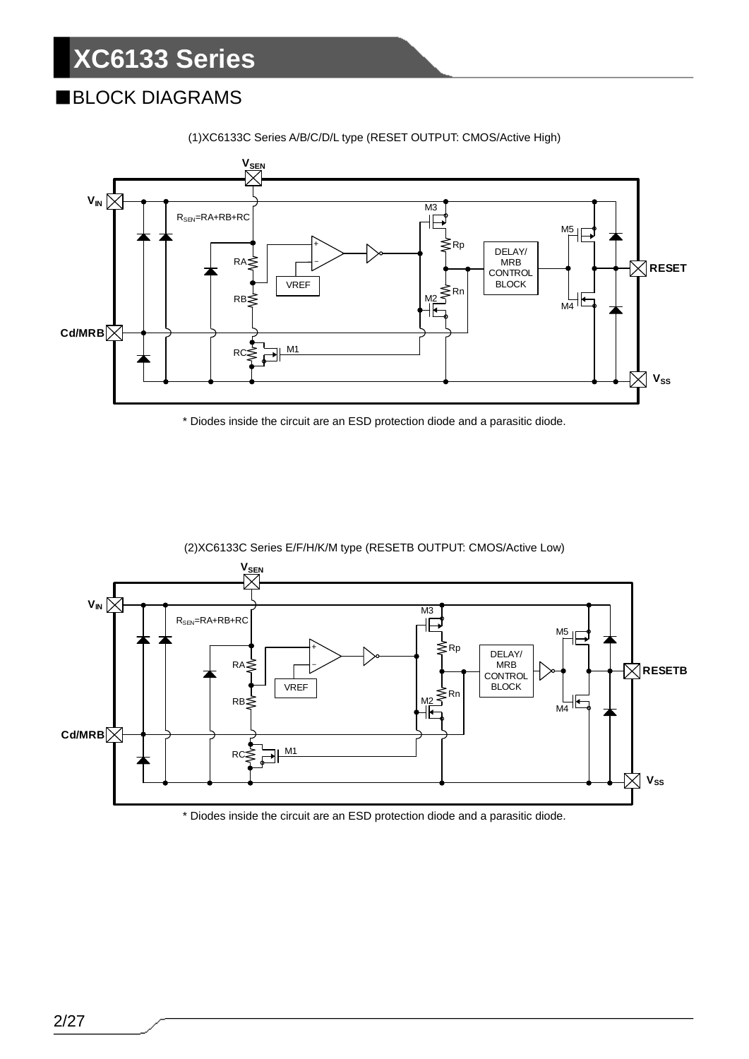## ■BLOCK DIAGRAMS



(1)XC6133C Series A/B/C/D/L type (RESET OUTPUT: CMOS/Active High)

\* Diodes inside the circuit are an ESD protection diode and a parasitic diode.



(2)XC6133C Series E/F/H/K/M type (RESETB OUTPUT: CMOS/Active Low)

\* Diodes inside the circuit are an ESD protection diode and a parasitic diode.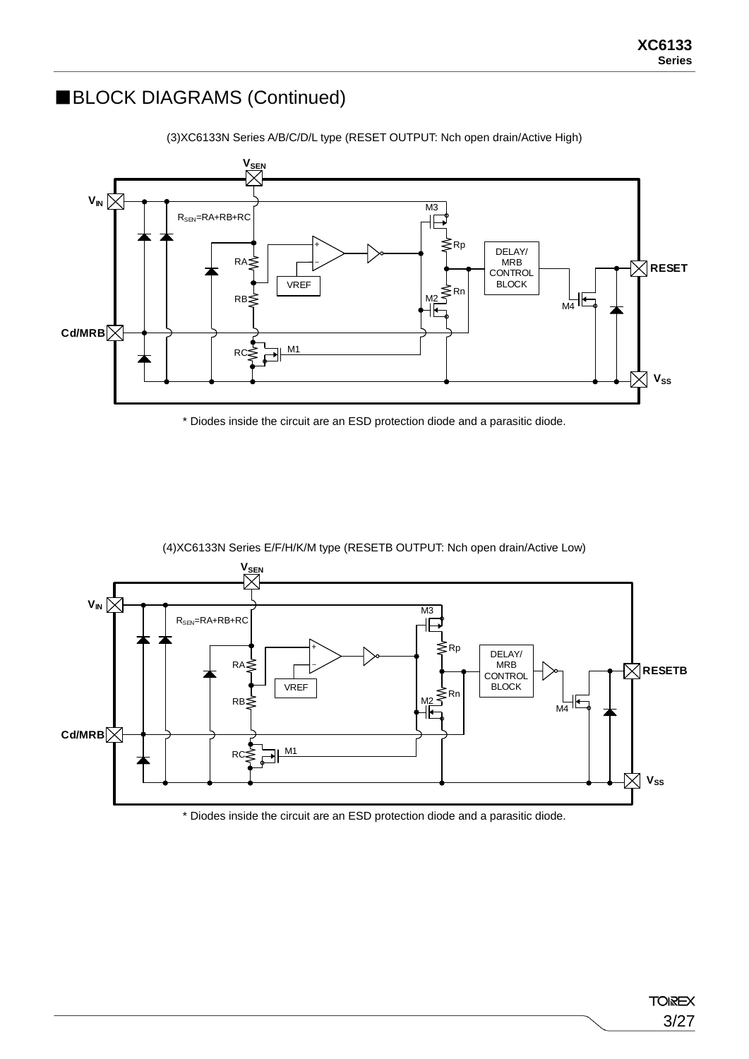### ■BLOCK DIAGRAMS (Continued)



(3)XC6133N Series A/B/C/D/L type (RESET OUTPUT: Nch open drain/Active High)

\* Diodes inside the circuit are an ESD protection diode and a parasitic diode.



(4)XC6133N Series E/F/H/K/M type (RESETB OUTPUT: Nch open drain/Active Low)

\* Diodes inside the circuit are an ESD protection diode and a parasitic diode.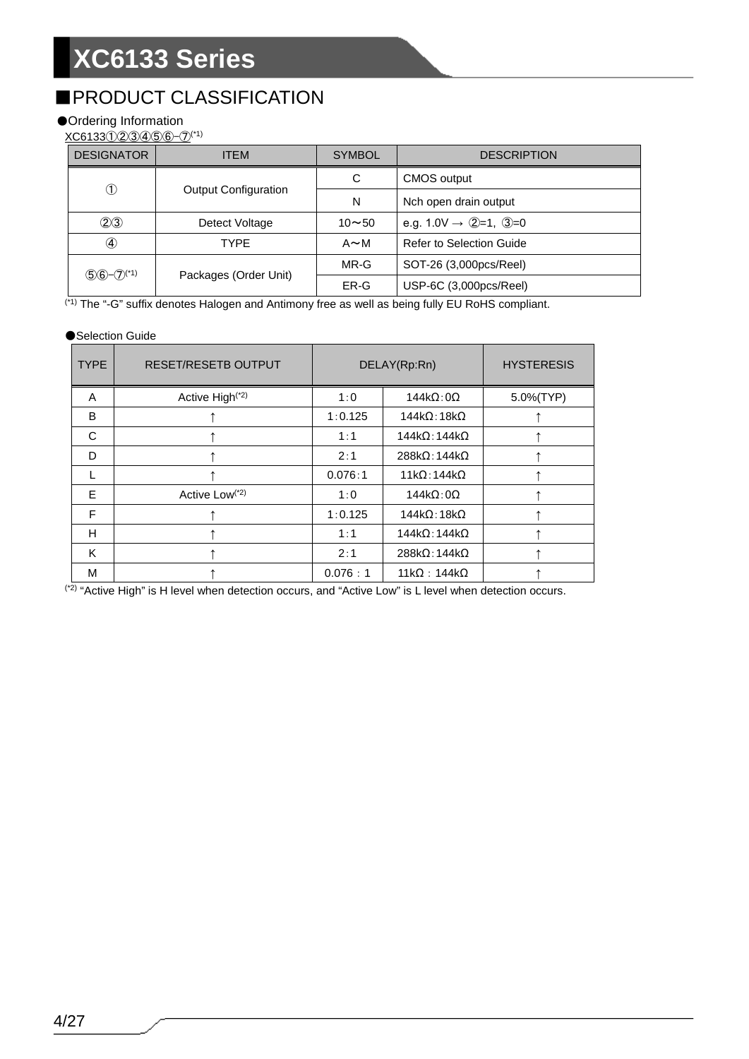## ■PRODUCT CLASSIFICATION

### ●Ordering Information

XC6133①②③④⑤⑥-⑦(\*1)

| <b>DESIGNATOR</b>        | ITEM                        | <b>SYMBOL</b> | <b>DESCRIPTION</b>                  |
|--------------------------|-----------------------------|---------------|-------------------------------------|
|                          |                             | C             | <b>CMOS output</b>                  |
| $^\circledR$             | <b>Output Configuration</b> | N             | Nch open drain output               |
| (2)3                     | Detect Voltage              | $10 - 50$     | e.g. $1.0V \rightarrow Q=1$ , $Q=0$ |
| $\circledast$            | TYPE                        | $A \sim M$    | <b>Refer to Selection Guide</b>     |
| $56 - 7$ <sup>(*1)</sup> |                             | MR-G          | SOT-26 (3,000pcs/Reel)              |
|                          | Packages (Order Unit)       | ER-G          | USP-6C (3,000pcs/Reel)              |

(\*1) The "-G" suffix denotes Halogen and Antimony free as well as being fully EU RoHS compliant.

#### ●Selection Guide

| <b>TYPE</b> | <b>RESET/RESETB OUTPUT</b>  |         | DELAY(Rp:Rn)                 | <b>HYSTERESIS</b> |
|-------------|-----------------------------|---------|------------------------------|-------------------|
| A           | Active High <sup>(*2)</sup> | 1:0     | $144k\Omega:0\Omega$         | 5.0%(TYP)         |
| B           |                             | 1:0.125 | $144k\Omega$ : 18k $\Omega$  |                   |
| C           |                             | 1:1     | $144k\Omega:144k\Omega$      |                   |
| D           |                             | 2:1     | $288k\Omega$ : 144k $\Omega$ |                   |
| L           |                             | 0.076:1 | $11k\Omega:144k\Omega$       |                   |
| E           | Active Low <sup>(*2)</sup>  | 1:0     | $144k\Omega:0\Omega$         |                   |
| F           |                             | 1:0.125 | $144k\Omega$ : 18k $\Omega$  |                   |
| н           |                             | 1:1     | $144k\Omega:144k\Omega$      |                   |
| K           |                             | 2:1     | $288k\Omega:144k\Omega$      |                   |
| M           |                             | 0.076:1 | $11k\Omega$ : 144k $\Omega$  |                   |

<sup>(\*2)</sup> "Active High" is H level when detection occurs, and "Active Low" is L level when detection occurs.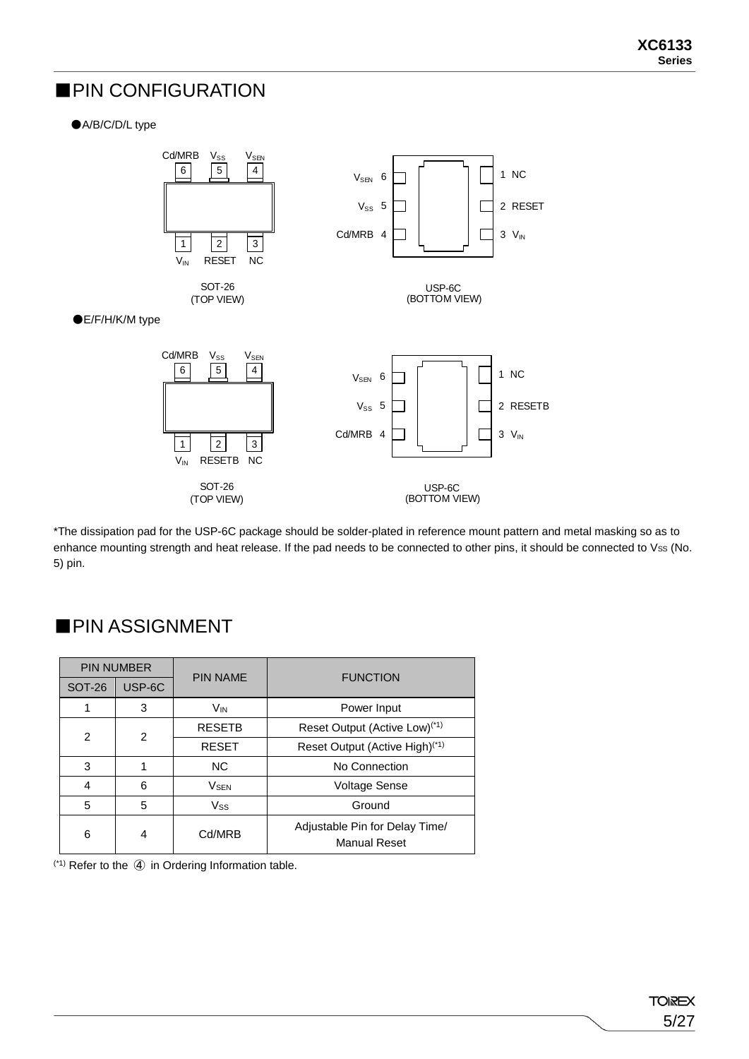### ■PIN CONFIGURATION

### ●A/B/C/D/L type



\*The dissipation pad for the USP-6C package should be solder-plated in reference mount pattern and metal masking so as to enhance mounting strength and heat release. If the pad needs to be connected to other pins, it should be connected to Vss (No. 5) pin.

| <b>PIN NUMBER</b> |        | <b>PIN NAME</b>        | <b>FUNCTION</b>                                       |
|-------------------|--------|------------------------|-------------------------------------------------------|
| <b>SOT-26</b>     | USP-6C |                        |                                                       |
|                   | 3      | V <sub>IN</sub>        | Power Input                                           |
| $\mathcal{P}$     | 2      | <b>RESETB</b>          | Reset Output (Active Low) <sup>(*1)</sup>             |
|                   |        | <b>RESET</b>           | Reset Output (Active High) <sup>(*1)</sup>            |
| 3                 |        | <b>NC</b>              | No Connection                                         |
| 4                 | 6      | <b>V<sub>SEN</sub></b> | <b>Voltage Sense</b>                                  |
| 5                 | 5      | Vss                    | Ground                                                |
| 6                 | 4      | Cd/MRB                 | Adjustable Pin for Delay Time/<br><b>Manual Reset</b> |

### ■PIN ASSIGNMENT

(\*1) Refer to the ④ in Ordering Information table.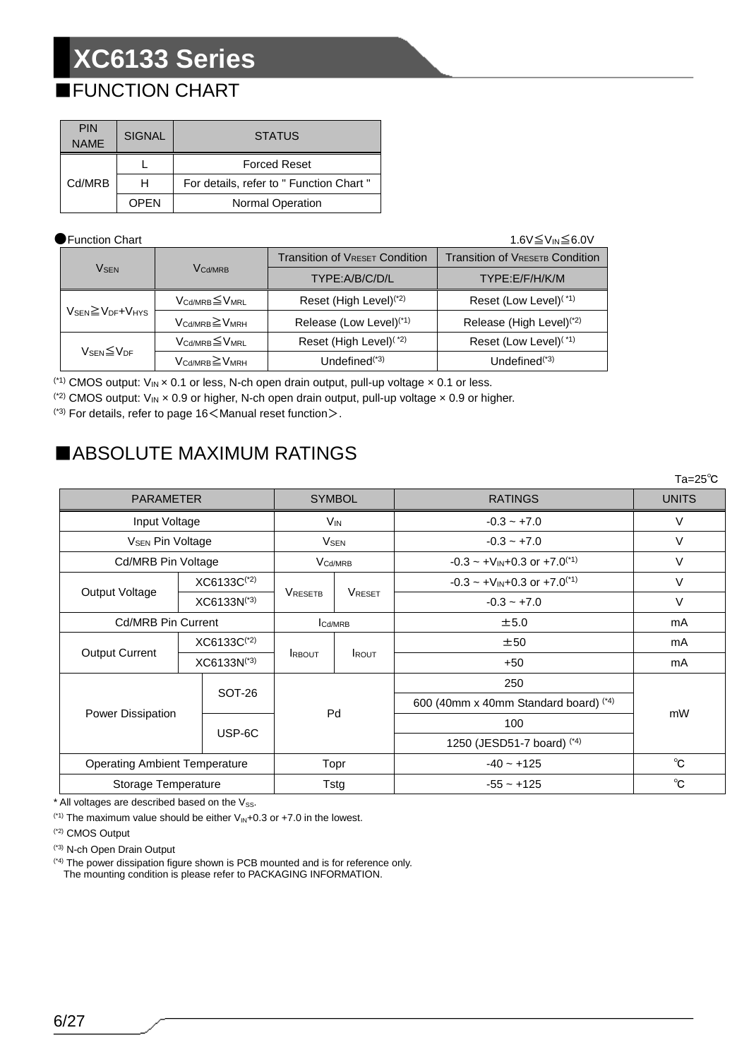## ■FUNCTION CHART

| <b>PIN</b><br><b>NAME</b> | <b>SIGNAL</b> | <b>STATUS</b>                            |
|---------------------------|---------------|------------------------------------------|
|                           |               | <b>Forced Reset</b>                      |
| Cd/MRB                    | н             | For details, refer to " Function Chart " |
|                           | OPEN          | <b>Normal Operation</b>                  |

### ●Function Chart 1.6V≦V<sub>IN</sub>≦6.0V

|                                                      |                                         | <b>Transition of VRESET Condition</b> | <b>Transition of VRESETB Condition</b> |
|------------------------------------------------------|-----------------------------------------|---------------------------------------|----------------------------------------|
| <b>VSEN</b>                                          | V <sub>Cd/MRB</sub>                     | TYPE:A/B/C/D/L                        | TYPE:E/F/H/K/M                         |
|                                                      | V <sub>Cd/MRB</sub> ≦V <sub>MRL</sub>   | Reset (High Level) <sup>(*2)</sup>    | Reset (Low Level) <sup>(*1)</sup>      |
| $V_{\text{SEN}} \geq V_{\text{DF}} + V_{\text{HYS}}$ | $V_{\text{Cd/MRB}} \geq V_{\text{MRH}}$ | Release (Low Level) <sup>(*1)</sup>   | Release (High Level) <sup>(*2)</sup>   |
| $V_{\text{SEN}}{\leq}V_{\text{DF}}$                  | $V_{\text{Cd/MRB}} \leq V_{\text{MRL}}$ | Reset (High Level) <sup>(*2)</sup>    | Reset (Low Level) <sup>(*1)</sup>      |
|                                                      | $V_{\text{Cd/MRB}} \geq V_{\text{MRH}}$ | Undefined $(3)$                       | Undefined $(1, 3)$                     |

<sup>(\*1)</sup> CMOS output:  $V_{IN} \times 0.1$  or less, N-ch open drain output, pull-up voltage  $\times 0.1$  or less.

(\*2) CMOS output:  $V_{IN} \times 0.9$  or higher, N-ch open drain output, pull-up voltage  $\times$  0.9 or higher.

 $(3)$  For details, refer to page 16  $<$  Manual reset function $>$ .

## ■ABSOLUTE MAXIMUM RATINGS

|                                      |                         |                        |                     |                                         | $Ta = 25^{\circ}C$ |  |
|--------------------------------------|-------------------------|------------------------|---------------------|-----------------------------------------|--------------------|--|
| <b>PARAMETER</b>                     |                         | <b>SYMBOL</b>          |                     | <b>RATINGS</b>                          | <b>UNITS</b>       |  |
| Input Voltage                        |                         | <b>V<sub>IN</sub></b>  |                     | $-0.3 - +7.0$                           | V                  |  |
| <b>V<sub>SEN</sub> Pin Voltage</b>   |                         | <b>V<sub>SEN</sub></b> |                     | $-0.3 - +7.0$                           | V                  |  |
| Cd/MRB Pin Voltage                   |                         |                        | V <sub>Cd/MRB</sub> | $-0.3 \sim +V_{IN}+0.3$ or $+7.0^{(1)}$ | V                  |  |
|                                      | XC6133C <sup>(*2)</sup> |                        |                     | $-0.3 \sim +V_{IN}+0.3$ or $+7.0^{(1)}$ | $\vee$             |  |
| Output Voltage                       | $XCG133N^{(3)}$         | <b>VRESETB</b>         | <b>VRESET</b>       | $-0.3 - +7.0$                           | $\vee$             |  |
| <b>Cd/MRB Pin Current</b>            |                         | <b>Cd/MRB</b>          |                     | ±5.0                                    | mA                 |  |
| <b>Output Current</b>                | $XCG133C^{(2)}$         |                        |                     | ±50                                     | mA                 |  |
|                                      | $XCG133N^{(3)}$         | <b>IRBOUT</b>          | <b>IROUT</b>        | $+50$                                   | mA                 |  |
|                                      | <b>SOT-26</b>           |                        |                     | 250                                     |                    |  |
|                                      |                         |                        |                     | 600 (40mm x 40mm Standard board) (*4)   | mW                 |  |
| Power Dissipation                    | USP-6C                  |                        | Pd<br>100           |                                         |                    |  |
|                                      |                         |                        |                     | 1250 (JESD51-7 board) (*4)              |                    |  |
| <b>Operating Ambient Temperature</b> |                         |                        | Topr                | $-40 - +125$                            | $^{\circ}C$        |  |
| Storage Temperature                  |                         | Tstg                   |                     | $-55 - +125$                            | $^{\circ}C$        |  |

 $*$  All voltages are described based on the  $V_{SS}$ .

(\*1) The maximum value should be either  $V_{IN}+0.3$  or  $+7.0$  in the lowest.

(\*2) CMOS Output

(\*3) N-ch Open Drain Output

(\*4) The power dissipation figure shown is PCB mounted and is for reference only. The mounting condition is please refer to PACKAGING INFORMATION.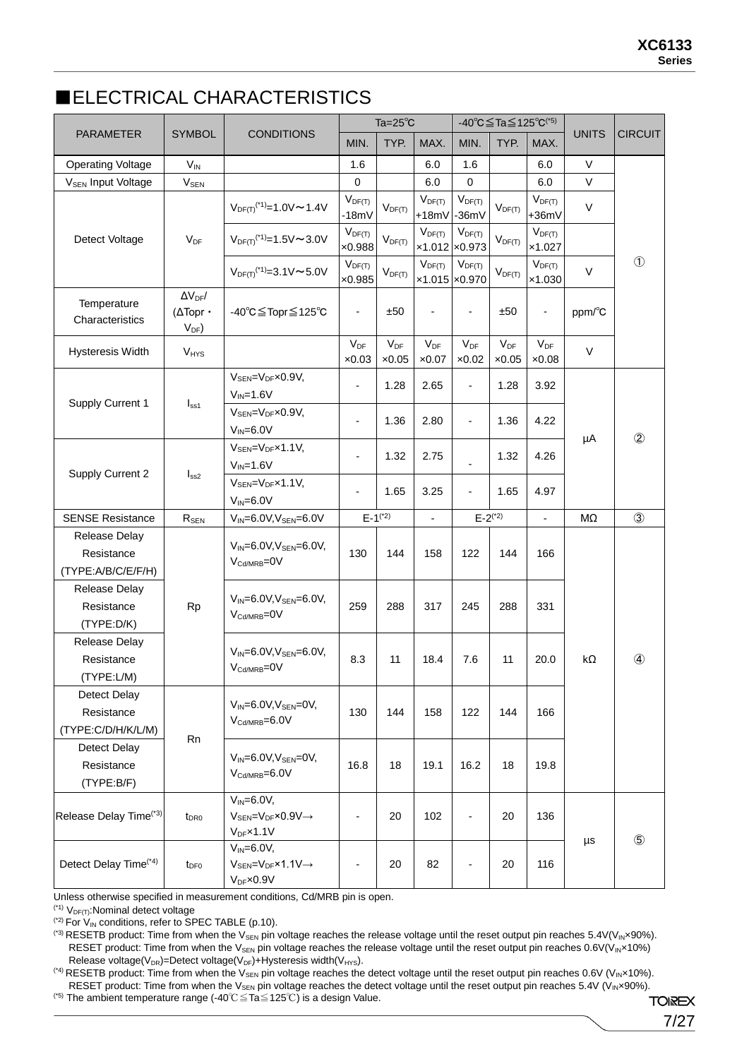## ■ELECTRICAL CHARACTERISTICS

|                                                   |                                                     |                                                                                                    |                                             | $Ta=25^{\circ}C$          |                                              | $-40^{\circ}$ C $\leq$ Ta $\leq$ 125 $^{\circ}$ C <sup>(*5)</sup> |                           |                           |              |                |
|---------------------------------------------------|-----------------------------------------------------|----------------------------------------------------------------------------------------------------|---------------------------------------------|---------------------------|----------------------------------------------|-------------------------------------------------------------------|---------------------------|---------------------------|--------------|----------------|
| <b>PARAMETER</b>                                  | <b>SYMBOL</b>                                       | <b>CONDITIONS</b>                                                                                  | MIN.                                        | TYP.                      | MAX.                                         | MIN.                                                              | TYP.                      | MAX.                      | <b>UNITS</b> | <b>CIRCUIT</b> |
| <b>Operating Voltage</b>                          | $V_{IN}$                                            |                                                                                                    | 1.6                                         |                           | 6.0                                          | 1.6                                                               |                           | 6.0                       | $\vee$       |                |
| V <sub>SEN</sub> Input Voltage                    | $V_{SEN}$                                           |                                                                                                    | $\mathbf 0$                                 |                           | 6.0                                          | $\mathbf 0$                                                       |                           | 6.0                       | $\vee$       |                |
|                                                   |                                                     | $V_{DF(T)}$ <sup>(*1)</sup> =1.0V ~ 1.4V                                                           | $V_{DF(T)}$<br>$-18mV$                      | $V_{DF(T)}$               | $V_{DF(T)}$<br>$+18mV$                       | $V_{DF(T)}$<br>$-36mV$                                            | $V_{DF(T)}$               | $V_{DF(T)}$<br>+36mV      | $\vee$       |                |
| Detect Voltage                                    | $V_{DF}$                                            | $V_{DF(T)}$ <sup>(*1)</sup> =1.5V ~ 3.0V                                                           | $V_{DF(T)}$<br>$\times 0.988$               | $V_{DF(T)}$               | $V_{DF(T)}$                                  | $V_{DF(T)}$<br>x1.012 x0.973                                      | $V_{DF(T)}$               | $V_{DF(T)}$<br>x1.027     |              |                |
|                                                   |                                                     | $V_{\text{DF(T)}}^{(1)}=3.1 \text{V}\sim 5.0 \text{V}$                                             | $V_{DF(T)}$<br>$\times 0.985$               | $V_{DF(T)}$               | $V_{DF(T)}$<br>$\times 1.015$ $\times 0.970$ | $V_{DF(T)}$                                                       | $V_{DF(T)}$               | $V_{DF(T)}$<br>×1.030     | $\vee$       | $\circled{1}$  |
| Temperature<br>Characteristics                    | $\Delta V_{DF}$ /<br>$(\Delta$ Topr ·<br>$V_{DF}$ ) | -40°C≦Topr≦125°C                                                                                   | $\overline{\phantom{a}}$                    | ±50                       | $\overline{\phantom{a}}$                     | $\overline{\phantom{a}}$                                          | ±50                       | $\overline{\phantom{a}}$  | ppm/°C       |                |
| Hysteresis Width                                  | $V_{HYS}$                                           |                                                                                                    | $\mathsf{V}_{\mathsf{DF}}$<br>$\times 0.03$ | $V_{DF}$<br>$\times 0.05$ | $V_{DF}$<br>$\times 0.07$                    | $V_{DF}$<br>$\times 0.02$                                         | $V_{DF}$<br>$\times 0.05$ | $V_{DF}$<br>$\times 0.08$ | $\vee$       |                |
| Supply Current 1                                  |                                                     | $V_{\text{SEN}} = V_{\text{DF}} \times 0.9 V$ ,<br>$V_{IN} = 1.6V$                                 | $\overline{a}$                              | 1.28                      | 2.65                                         | $\overline{\phantom{0}}$                                          | 1.28                      | 3.92                      |              |                |
|                                                   | I <sub>ss1</sub>                                    | $V_{\text{SEN}} = V_{\text{DF}} \times 0.9 V$ ,<br>$V_{IN} = 6.0V$                                 | $\blacksquare$                              | 1.36                      | 2.80                                         | $\overline{\phantom{a}}$                                          | 1.36                      | 4.22                      | μA           | $\circled{2}$  |
| Supply Current 2                                  | I <sub>ss2</sub>                                    | $V_{SEN} = V_{DF} \times 1.1 V$ ,<br>$V_{IN} = 1.6V$                                               | $\overline{\phantom{a}}$                    | 1.32                      | 2.75                                         |                                                                   | 1.32                      | 4.26                      |              |                |
|                                                   |                                                     | $V_{\text{SEN}} = V_{\text{DF}} \times 1.1 V$ ,<br>$V_{IN} = 6.0V$                                 |                                             | 1.65                      | 3.25                                         |                                                                   | 1.65                      | 4.97                      |              |                |
| <b>SENSE Resistance</b>                           | $R_{\rm SEN}$                                       | $V_{IN} = 6.0 V, V_{SEN} = 6.0 V$                                                                  | $E-1^{(*)}$                                 |                           | $\overline{a}$                               | $E - 2^{(*)}$                                                     |                           | $\overline{a}$            | MΩ           | $\circled{3}$  |
| Release Delay<br>Resistance<br>(TYPE:A/B/C/E/F/H) |                                                     | $V_{IN} = 6.0 V, V_{SEN} = 6.0 V,$<br>V <sub>Cd/MRB</sub> =0V                                      | 130                                         | 144                       | 158                                          | 122                                                               | 144                       | 166                       |              |                |
| Release Delay<br>Resistance<br>(TYPE:D/K)         | Rp                                                  | $V_{IN} = 6.0 V, V_{SEN} = 6.0 V,$<br>V <sub>Cd/MRB</sub> =0V                                      | 259                                         | 288                       | 317                                          | 245                                                               | 288                       | 331                       |              |                |
| Release Delay<br>Resistance<br>(TYPE:L/M)         |                                                     | $V_{IN} = 6.0 V, V_{SEN} = 6.0 V,$<br>V <sub>Cd/MRB</sub> =0V                                      | 8.3                                         | 11                        | 18.4                                         | 7.6                                                               | 11                        | 20.0                      | $k\Omega$    | ④              |
| Detect Delay<br>Resistance<br>(TYPE:C/D/H/K/L/M)  | Rn                                                  | $V_{IN} = 6.0 V, V_{SEN} = 0 V,$<br>$V_{\text{Cd/MRB}} = 6.0V$                                     | 130                                         | 144                       | 158                                          | 122                                                               | 144                       | 166                       |              |                |
| Detect Delay<br>Resistance<br>(TYPE:B/F)          |                                                     | $V_{IN} = 6.0 V, V_{SEN} = 0 V,$<br>$V_{\text{Cd/MRB}} = 6.0V$                                     | 16.8                                        | 18                        | 19.1                                         | 16.2                                                              | 18                        | 19.8                      |              |                |
| Release Delay Time <sup>(*3)</sup>                | t <sub>DR0</sub>                                    | $V_{IN} = 6.0V,$<br>$V_{\text{SEN}} = V_{\text{DF}} \times 0.9 V \rightarrow$<br>$V_{DF}$ x1.1 $V$ |                                             | 20                        | 102                                          | $\overline{\phantom{a}}$                                          | 20                        | 136                       | μs           | $\circledS$    |
| Detect Delay Time <sup>(*4)</sup>                 | $t_{\text{DF0}}$                                    | $V_{IN} = 6.0V,$<br>$V_{SEN} = V_{DF} \times 1.1 V \rightarrow$<br>$V_{DF} \times 0.9 V$           |                                             | 20                        | 82                                           |                                                                   | 20                        | 116                       |              |                |

Unless otherwise specified in measurement conditions, Cd/MRB pin is open.

 $(1)$  V<sub>DF(T)</sub>: Nominal detect voltage

( $2$ ) For  $V_{IN}$  conditions, refer to SPEC TABLE (p.10).

(3) RESETB product: Time from when the V<sub>SEN</sub> pin voltage reaches the release voltage until the reset output pin reaches 5.4V(V<sub>IN</sub>×90%). RESET product: Time from when the V<sub>SEN</sub> pin voltage reaches the release voltage until the reset output pin reaches  $0.6V(V_{IN} \times 10\%)$ Release voltage( $V_{DR}$ )=Detect voltage( $V_{DF}$ )+Hysteresis width( $V_{HYS}$ ).

(\*4) RESETB product: Time from when the V<sub>SEN</sub> pin voltage reaches the detect voltage until the reset output pin reaches 0.6V (V<sub>IN</sub>×10%). RESET product: Time from when the V<sub>SEN</sub> pin voltage reaches the detect voltage until the reset output pin reaches 5.4V (V<sub>IN</sub>×90%). (\*5) The ambient temperature range (-40℃≦Ta≦125℃) is a design Value.

**TOIREX** 7/27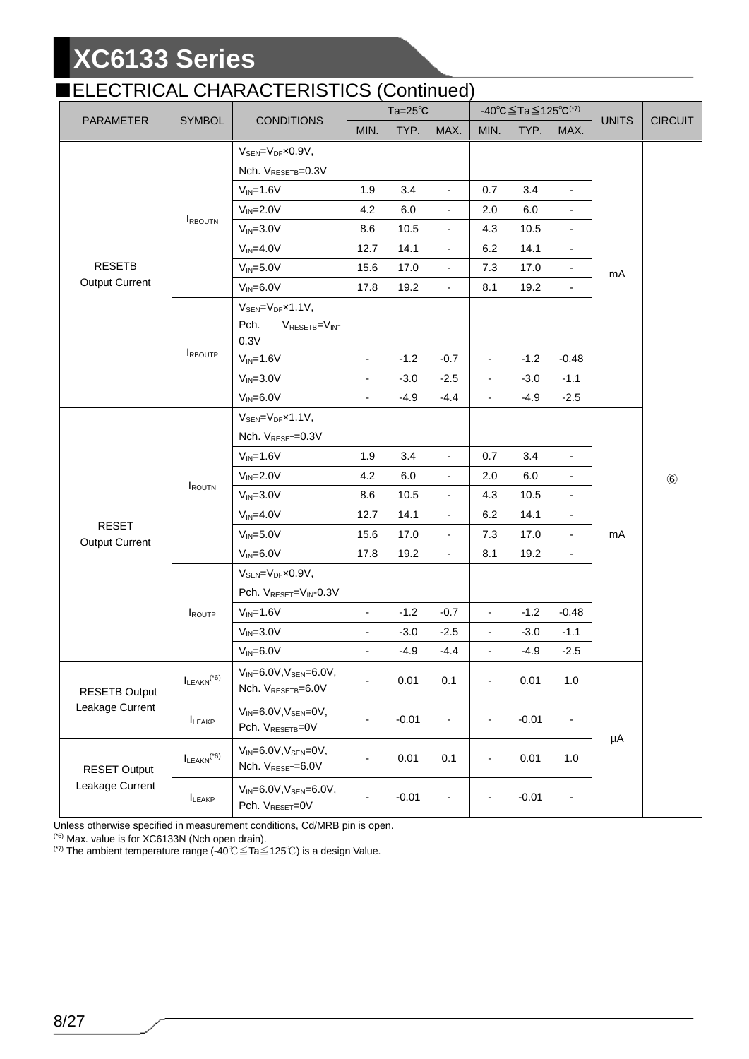### **ELECTRICAL CHARACTERISTICS (Continued)**

|                                        |                                      |                                                                                                   |                          | ----------<br>$Ta=25^\circ C$ |                          |                          | -40°C≦Ta≦125°C <sup>(*7)</sup> |                          |              |                |
|----------------------------------------|--------------------------------------|---------------------------------------------------------------------------------------------------|--------------------------|-------------------------------|--------------------------|--------------------------|--------------------------------|--------------------------|--------------|----------------|
| PARAMETER                              | <b>SYMBOL</b>                        | <b>CONDITIONS</b>                                                                                 | MIN.                     | TYP.                          | MAX.                     | MIN.                     | TYP.                           | MAX.                     | <b>UNITS</b> | <b>CIRCUIT</b> |
|                                        |                                      | $V_{\text{SEN}} = V_{\text{DF}} \times 0.9 V$ ,                                                   |                          |                               |                          |                          |                                |                          |              |                |
|                                        |                                      | Nch. V <sub>RESETB</sub> =0.3V                                                                    |                          |                               |                          |                          |                                |                          |              |                |
|                                        |                                      | $V_{IN} = 1.6V$                                                                                   | 1.9                      | 3.4                           | $\blacksquare$           | 0.7                      | 3.4                            | $\overline{\phantom{a}}$ |              |                |
|                                        |                                      | $V_{IN} = 2.0V$                                                                                   | 4.2                      | 6.0                           | $\overline{\phantom{a}}$ | 2.0                      | 6.0                            |                          |              |                |
|                                        | <b>IRBOUTN</b>                       | $V_{IN} = 3.0V$                                                                                   | 8.6                      | 10.5                          | $\overline{a}$           | 4.3                      | 10.5                           |                          |              |                |
|                                        |                                      | $V_{IN} = 4.0V$                                                                                   | 12.7                     | 14.1                          | $\overline{\phantom{a}}$ | 6.2                      | 14.1                           | $\overline{\phantom{a}}$ |              |                |
| <b>RESETB</b>                          |                                      | $V_{IN} = 5.0V$                                                                                   | 15.6                     | 17.0                          | $\overline{\phantom{a}}$ | 7.3                      | 17.0                           | $\blacksquare$           | mA           |                |
| <b>Output Current</b>                  |                                      | $V_{IN} = 6.0V$                                                                                   | 17.8                     | 19.2                          | $\overline{\phantom{a}}$ | 8.1                      | 19.2                           | ÷,                       |              |                |
|                                        |                                      | $V_{SEN} = V_{DF} \times 1.1 V$ ,<br>Pch.<br>VRESETB=VIN-<br>0.3V                                 |                          |                               |                          |                          |                                |                          |              |                |
|                                        | <b>IRBOUTP</b>                       | $V_{IN} = 1.6V$                                                                                   | $\overline{\phantom{a}}$ | $-1.2$                        | $-0.7$                   | $\blacksquare$           | $-1.2$                         | $-0.48$                  |              | $\circledast$  |
|                                        |                                      | $V_{IN} = 3.0V$                                                                                   | $\frac{1}{2}$            | $-3.0$                        | $-2.5$                   | $\overline{\phantom{a}}$ | $-3.0$                         | $-1.1$                   |              |                |
|                                        |                                      | $V_{IN} = 6.0V$                                                                                   | $\overline{\phantom{a}}$ | $-4.9$                        | $-4.4$                   | $\blacksquare$           | $-4.9$                         | $-2.5$                   |              |                |
|                                        | ROUTN                                | $V_{SEN} = V_{DF} \times 1.1 V$ ,<br>Nch. V <sub>RESET</sub> =0.3V                                |                          |                               |                          |                          |                                |                          |              |                |
|                                        |                                      | $V_{IN} = 1.6V$                                                                                   | 1.9                      | 3.4                           | $\blacksquare$           | 0.7                      | 3.4                            | $\overline{a}$           |              |                |
|                                        |                                      | $V_{IN} = 2.0V$                                                                                   | 4.2                      | 6.0                           | $\overline{\phantom{a}}$ | 2.0                      | 6.0                            | $\overline{\phantom{m}}$ |              |                |
|                                        |                                      | $V_{IN} = 3.0V$                                                                                   | 8.6                      | 10.5                          | $\blacksquare$           | 4.3                      | 10.5                           |                          |              |                |
|                                        |                                      | $V_{IN} = 4.0V$                                                                                   | 12.7                     | 14.1                          | $\overline{\phantom{a}}$ | 6.2                      | 14.1                           | $\overline{\phantom{a}}$ |              |                |
| <b>RESET</b><br><b>Output Current</b>  |                                      | $V_{IN} = 5.0V$                                                                                   | 15.6                     | 17.0                          | $\overline{a}$           | 7.3                      | 17.0                           | $\overline{\phantom{a}}$ | mA           |                |
|                                        |                                      | $V_{IN} = 6.0V$                                                                                   | 17.8                     | 19.2                          | $\overline{a}$           | 8.1                      | 19.2                           | ÷,                       |              |                |
|                                        |                                      | $V_{\text{SEN}} = V_{\text{DF}} \times 0.9 V$ ,<br>Pch. V <sub>RESET</sub> =V <sub>IN</sub> -0.3V |                          |                               |                          |                          |                                |                          |              |                |
|                                        | ROUTP                                | $V_{IN} = 1.6V$                                                                                   | $\overline{\phantom{a}}$ | $-1.2$                        | $-0.7$                   | $\blacksquare$           | $-1.2$                         | $-0.48$                  |              |                |
|                                        |                                      | $V_{IN} = 3.0V$                                                                                   |                          | $-3.0$                        | $-2.5$                   | $\overline{\phantom{a}}$ | $-3.0$                         | $-1.1$                   |              |                |
|                                        |                                      | $V_{IN} = 6.0V$                                                                                   | $\overline{\phantom{a}}$ | $-4.9$                        | $-4.4$                   | $\overline{\phantom{a}}$ | $-4.9$                         | $-2.5$                   |              |                |
| <b>RESETB Output</b>                   | $I_{LEAKN}$ <sup>(*6)</sup>          | $V_{IN} = 6.0 V, V_{SEN} = 6.0 V,$<br>Nch. VRESETB=6.0V                                           | $\overline{\phantom{0}}$ | 0.01                          | 0.1                      | $\overline{\phantom{a}}$ | 0.01                           | 1.0                      |              |                |
| Leakage Current                        | LEAKP                                | $V_{IN} = 6.0V, V_{SEN} = 0V,$<br>Pch. V <sub>RESETB</sub> =0V                                    | $\overline{\phantom{a}}$ | $-0.01$                       | $\overline{\phantom{a}}$ | $\overline{\phantom{a}}$ | $-0.01$                        | $\overline{\phantom{0}}$ |              |                |
| <b>RESET Output</b><br>Leakage Current | $I_{\textrm{LEAKN}}^{\textrm{(*6)}}$ | $V_{IN} = 6.0V, V_{SEN} = 0V,$<br>Nch. V <sub>RESET</sub> =6.0V                                   | $\overline{\phantom{a}}$ | 0.01                          | 0.1                      | $\overline{\phantom{a}}$ | 0.01                           | 1.0                      | μA           |                |
|                                        | LEAKP                                | $V_{IN} = 6.0 V, V_{SEN} = 6.0 V,$<br>Pch. V <sub>RESET</sub> =0V                                 | $\overline{\phantom{0}}$ | $-0.01$                       | $\overline{\phantom{a}}$ | $\blacksquare$           | $-0.01$                        | $\overline{\phantom{m}}$ |              |                |

Unless otherwise specified in measurement conditions, Cd/MRB pin is open.

(\*6) Max. value is for XC6133N (Nch open drain).

(\*7) The ambient temperature range (-40℃≦Ta≦125℃) is a design Value.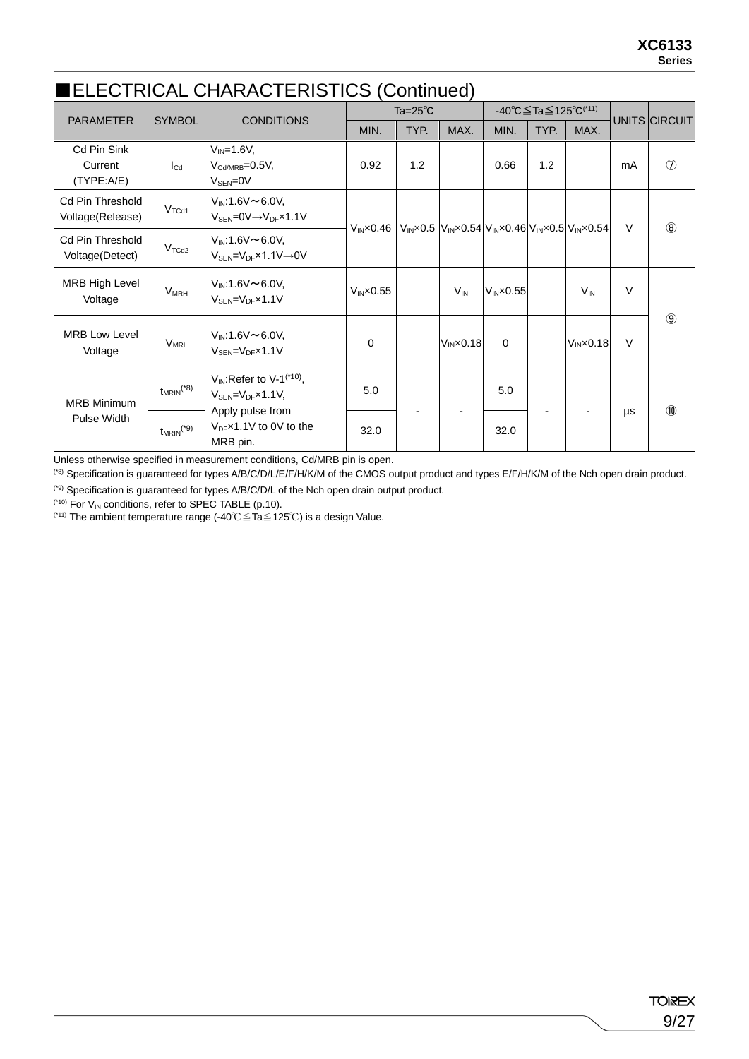### ■ELECTRICAL CHARACTERISTICS (Continued)

| <b>PARAMETER</b>                            | <b>SYMBOL</b><br><b>CONDITIONS</b> |                                                                                                    |                      | Ta= $25^{\circ}$ C |                                                                          |                      | -40 °C $\leq$ Ta $\leq$ 125 °C <sup>(*11)</sup> |                      |        | UNITS CIRCUIT  |
|---------------------------------------------|------------------------------------|----------------------------------------------------------------------------------------------------|----------------------|--------------------|--------------------------------------------------------------------------|----------------------|-------------------------------------------------|----------------------|--------|----------------|
|                                             |                                    |                                                                                                    | MIN.                 | TYP.               | MAX.                                                                     | MIN.                 | TYP.                                            | MAX.                 |        |                |
| Cd Pin Sink<br>Current<br>(TYPE: A/E)       | $I_{\text{Cd}}$                    | $V_{IN} = 1.6V$ ,<br>$V_{\text{Cd/MRB}} = 0.5V$ ,<br>$V_{\text{SEN}} = 0V$                         | 0.92                 | 1.2                |                                                                          | 0.66                 | 1.2                                             |                      | mA     | $\circledcirc$ |
| <b>Cd Pin Threshold</b><br>Voltage(Release) | V <sub>TCd1</sub>                  | $V_{IN}$ :1.6V $\sim$ 6.0V,<br>$V_{\text{SEN}} = 0 \vee \rightarrow V_{\text{DF}} \times 1.1 \vee$ | $VIN \times 0.46$    |                    | $V_{IN}$ x0.5 $V_{IN}$ x0.54 $V_{IN}$ x0.46 $V_{IN}$ x0.5 $V_{IN}$ x0.54 |                      |                                                 |                      | V      | $\circledR$    |
| <b>Cd Pin Threshold</b><br>Voltage(Detect)  | $V_{TCd2}$                         | $V_{IN}$ :1.6V $\sim$ 6.0V,<br>$V_{\text{SEN}} = V_{\text{DF}} \times 1.1 V \rightarrow 0 V$       |                      |                    |                                                                          |                      |                                                 |                      |        |                |
| <b>MRB High Level</b><br>Voltage            | <b>V<sub>MRH</sub></b>             | $V_{IN}$ :1.6V $\sim$ 6.0V,<br>$V_{\text{SFN}} = V_{\text{DF}} \times 1.1 V$                       | $V_{IN} \times 0.55$ |                    | $V_{IN}$                                                                 | $V_{IN} \times 0.55$ |                                                 | $V_{IN}$             | $\vee$ |                |
| <b>MRB Low Level</b><br>Voltage             | <b>V<sub>MRL</sub></b>             | $V_{IN}$ :1.6V $\sim$ 6.0V,<br>$V_{\text{SEN}} = V_{\text{DF}} \times 1.1 V$                       | $\Omega$             |                    | $V_{IN} \times 0.18$                                                     | $\mathbf 0$          |                                                 | $V_{IN} \times 0.18$ | $\vee$ | $\circled{9}$  |
| <b>MRB Minimum</b><br>Pulse Width           | $t_{MRIN}$ <sup>(*8)</sup>         | $V_{IN}$ : Refer to V-1 <sup>(*10)</sup> ,<br>$V_{\text{SEN}} = V_{\text{DF}} \times 1.1 V$        | 5.0                  |                    |                                                                          | 5.0                  |                                                 |                      |        | $\circledcirc$ |
|                                             | $t_{MRIN}$ <sup>(*9)</sup>         | Apply pulse from<br>$V_{DF}$ x1.1V to 0V to the<br>MRB pin.                                        | 32.0                 |                    |                                                                          | 32.0                 |                                                 |                      | μs     |                |

Unless otherwise specified in measurement conditions, Cd/MRB pin is open.

(\*8) Specification is guaranteed for types A/B/C/D/L/E/F/H/K/M of the CMOS output product and types E/F/H/K/M of the Nch open drain product.

(\*9) Specification is guaranteed for types A/B/C/D/L of the Nch open drain output product.

 $(10)$  For  $V_{IN}$  conditions, refer to SPEC TABLE (p.10).

(\*11) The ambient temperature range (-40℃≦Ta≦125℃) is a design Value.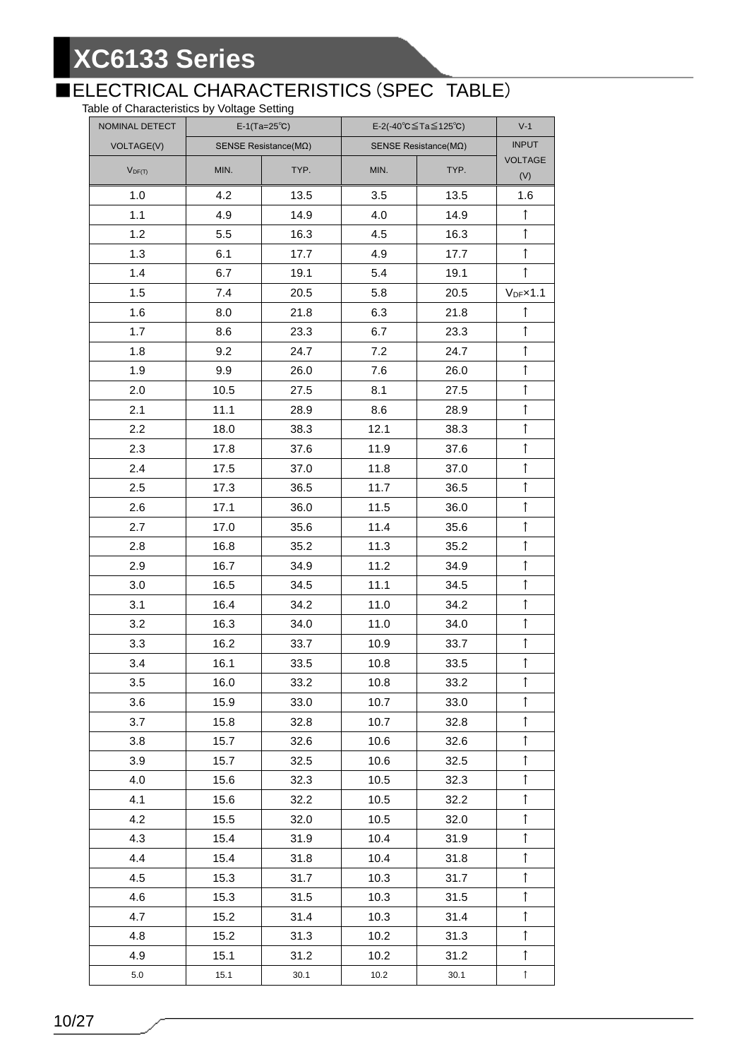## ■ELECTRICAL CHARACTERISTICS (SPEC TABLE)

Table of Characteristics by Voltage Setting

| NOMINAL DETECT    | $E-1(Ta=25^{\circ}C)$ |                               | E-2(-40 $^{\circ}$ C $\leq$ Ta $\leq$ 125 $^{\circ}$ C) | $V-1$ |                        |
|-------------------|-----------------------|-------------------------------|---------------------------------------------------------|-------|------------------------|
| <b>VOLTAGE(V)</b> |                       | SENSE Resistance( $M\Omega$ ) | SENSE Resistance( $M\Omega$ )                           |       | <b>INPUT</b>           |
| $V_{DF(T)}$       | MIN.                  | TYP.                          | MIN.                                                    | TYP.  | VOLTAGE<br>(V)         |
| 1.0               | 4.2                   | 13.5                          | 3.5                                                     | 13.5  | 1.6                    |
| 1.1               | 4.9                   | 14.9                          | 4.0                                                     | 14.9  | $\uparrow$             |
| 1.2               | 5.5                   | 16.3                          | 4.5                                                     | 16.3  | $\uparrow$             |
| 1.3               | 6.1                   | 17.7                          | 4.9                                                     | 17.7  | $\uparrow$             |
| 1.4               | 6.7                   | 19.1                          | 5.4                                                     | 19.1  | $\uparrow$             |
| 1.5               | 7.4                   | 20.5                          | 5.8                                                     | 20.5  | $V_{DF} \times 1.1$    |
| 1.6               | 8.0                   | 21.8                          | 6.3                                                     | 21.8  | $\uparrow$             |
| 1.7               | 8.6                   | 23.3                          | 6.7                                                     | 23.3  | $\uparrow$             |
| 1.8               | 9.2                   | 24.7                          | 7.2                                                     | 24.7  | $\uparrow$             |
| 1.9               | 9.9                   | 26.0                          | 7.6                                                     | 26.0  | $\uparrow$             |
| 2.0               | 10.5                  | 27.5                          | 8.1                                                     | 27.5  | $\uparrow$             |
| 2.1               | 11.1                  | 28.9                          | 8.6                                                     | 28.9  | $\uparrow$             |
| 2.2               | 18.0                  | 38.3                          | 12.1                                                    | 38.3  | $\uparrow$             |
| 2.3               | 17.8                  | 37.6                          | 11.9                                                    | 37.6  | $\uparrow$             |
| 2.4               | 17.5                  | 37.0                          | 11.8                                                    | 37.0  | $\uparrow$             |
| 2.5               | 17.3                  | 36.5                          | 11.7                                                    | 36.5  | $\uparrow$             |
| 2.6               | 17.1                  | 36.0                          | 11.5                                                    | 36.0  | $\uparrow$             |
| 2.7               | 17.0                  | 35.6                          | 11.4                                                    | 35.6  | $\uparrow$             |
| 2.8               | 16.8                  | 35.2                          | 11.3                                                    | 35.2  | $\uparrow$             |
| 2.9               | 16.7                  | 34.9                          | 11.2                                                    | 34.9  | $\uparrow$             |
| 3.0               | 16.5                  | 34.5                          | 11.1                                                    | 34.5  | $\uparrow$             |
| 3.1               | 16.4                  | 34.2                          | 11.0                                                    | 34.2  | $\uparrow$             |
| 3.2               | 16.3                  | 34.0                          | 11.0                                                    | 34.0  | $\uparrow$             |
| 3.3               | 16.2                  | 33.7                          | 10.9                                                    | 33.7  | $\uparrow$             |
| 3.4               | 16.1                  | 33.5                          | 10.8                                                    | 33.5  | $\uparrow$             |
| 3.5               | 16.0                  | 33.2                          | 10.8                                                    | 33.2  | $\blacktriangle$<br>I. |
| 3.6               | 15.9                  | 33.0                          | 10.7                                                    | 33.0  | $\uparrow$             |
| 3.7               | 15.8                  | 32.8                          | 10.7                                                    | 32.8  | $\uparrow$             |
| 3.8               | 15.7                  | 32.6                          | 10.6                                                    | 32.6  | $\uparrow$             |
| 3.9               | 15.7                  | 32.5                          | 10.6                                                    | 32.5  | $\uparrow$             |
| 4.0               | 15.6                  | 32.3                          | 10.5                                                    | 32.3  | $\uparrow$             |
| 4.1               | 15.6                  | 32.2                          | 10.5                                                    | 32.2  | $\uparrow$             |
| 4.2               | 15.5                  | 32.0                          | 10.5                                                    | 32.0  | $\uparrow$             |
| 4.3               | 15.4                  | 31.9                          | 10.4                                                    | 31.9  | $\uparrow$             |
| 4.4               | 15.4                  | 31.8                          | 10.4                                                    | 31.8  | $\uparrow$             |
| 4.5               | 15.3                  | 31.7                          | 10.3                                                    | 31.7  | $\uparrow$             |
| 4.6               | 15.3                  | 31.5                          | 10.3                                                    | 31.5  | $\uparrow$             |
| 4.7               | 15.2                  | 31.4                          | 10.3                                                    | 31.4  | $\uparrow$             |
| 4.8               | 15.2                  | 31.3                          | 10.2                                                    | 31.3  | $\uparrow$             |
| 4.9               | 15.1                  | 31.2                          | 10.2                                                    | 31.2  | $\uparrow$             |
| $5.0\,$           | 15.1                  | 30.1                          | 10.2                                                    | 30.1  | $\uparrow$             |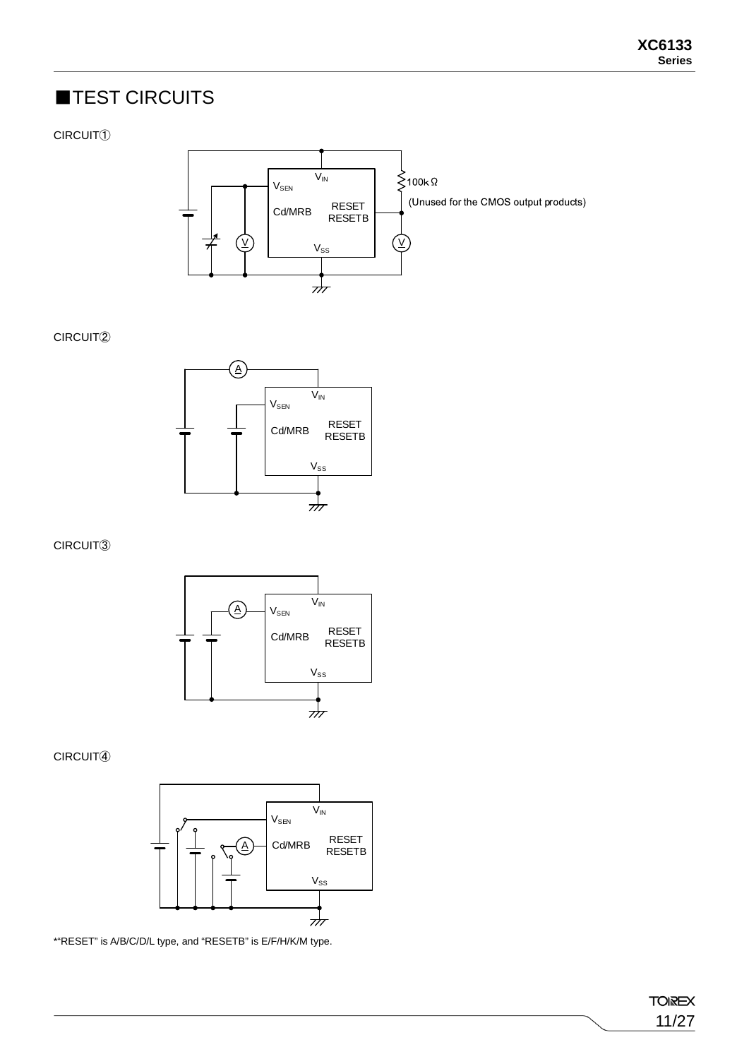## ■TEST CIRCUITS

### CIRCUIT①



#### CIRCUIT②



### CIRCUIT③



### CIRCUIT④



\*"RESET" is A/B/C/D/L type, and "RESETB" is E/F/H/K/M type.

**TOIREX** 11/27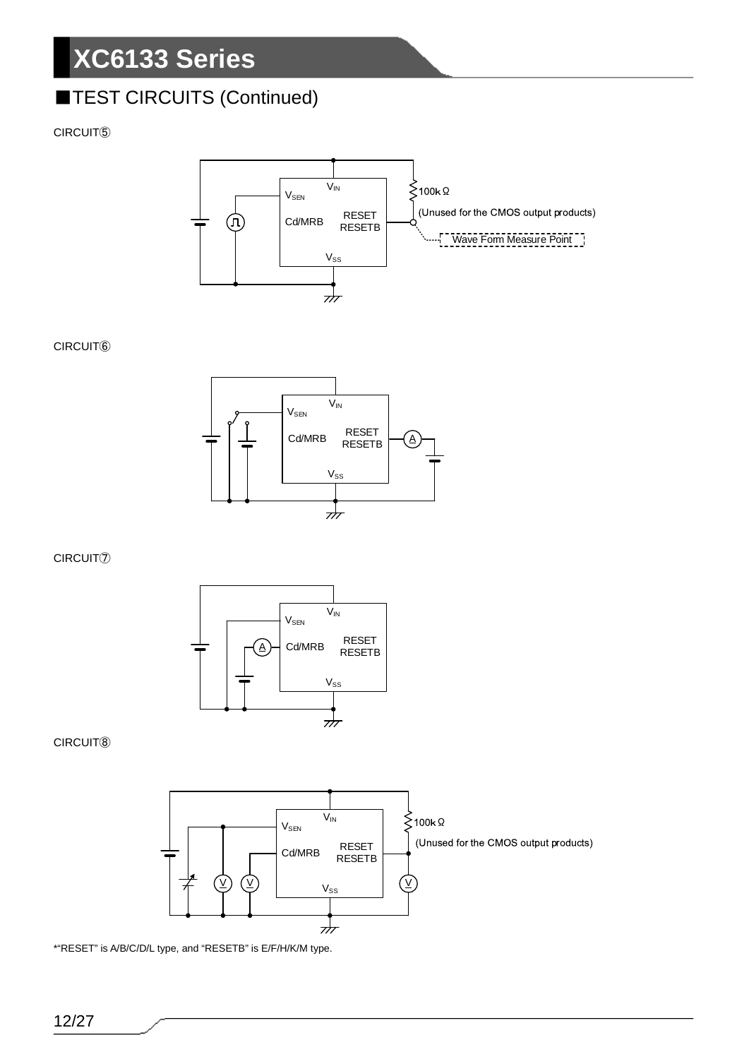## **TEST CIRCUITS (Continued)**

CIRCUIT⑤



#### CIRCUIT⑥



CIRCUIT⑦



#### CIRCUIT⑧



\*"RESET" is A/B/C/D/L type, and "RESETB" is E/F/H/K/M type.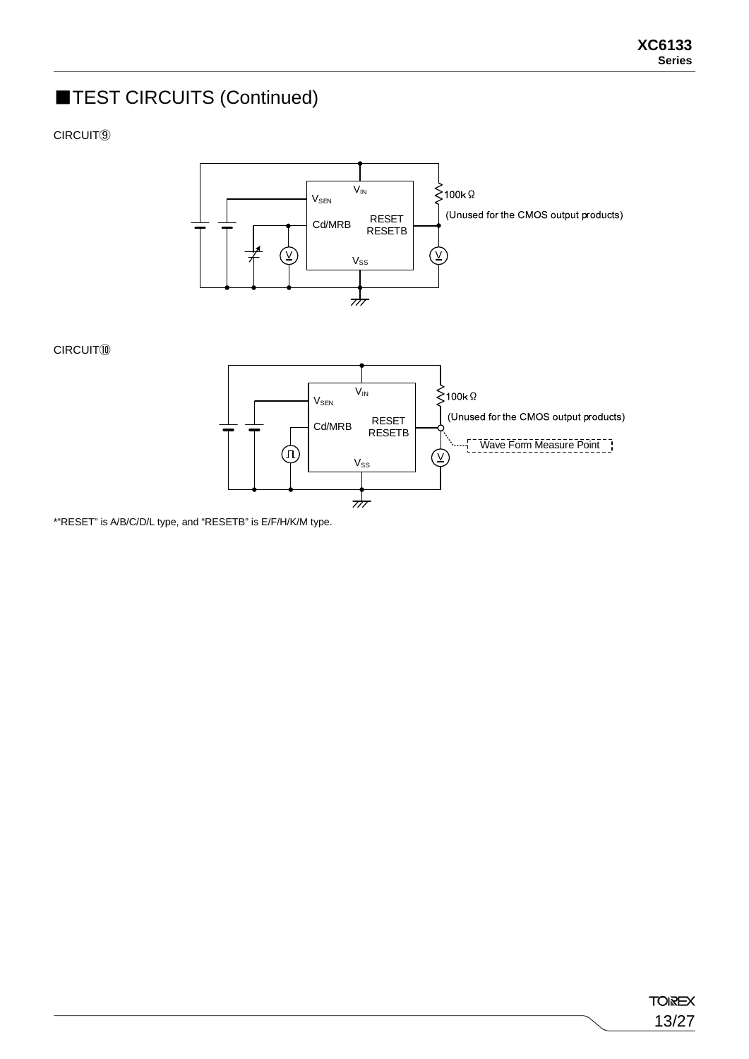## **TEST CIRCUITS (Continued)**

CIRCUIT⑨



\*"RESET" is A/B/C/D/L type, and "RESETB" is E/F/H/K/M type.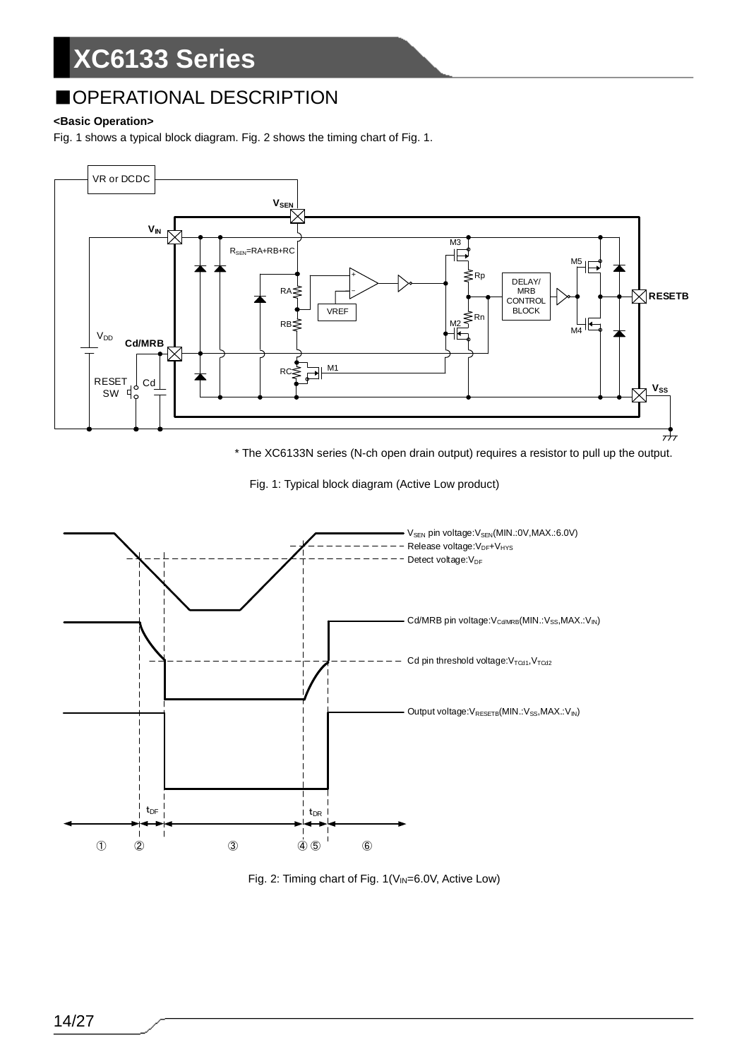## ■OPERATIONAL DESCRIPTION

### **<Basic Operation>**

Fig. 1 shows a typical block diagram. Fig. 2 shows the timing chart of Fig. 1.



\* The XC6133N series (N-ch open drain output) requires a resistor to pull up the output.





Fig. 2: Timing chart of Fig. 1(V<sub>IN</sub>=6.0V, Active Low)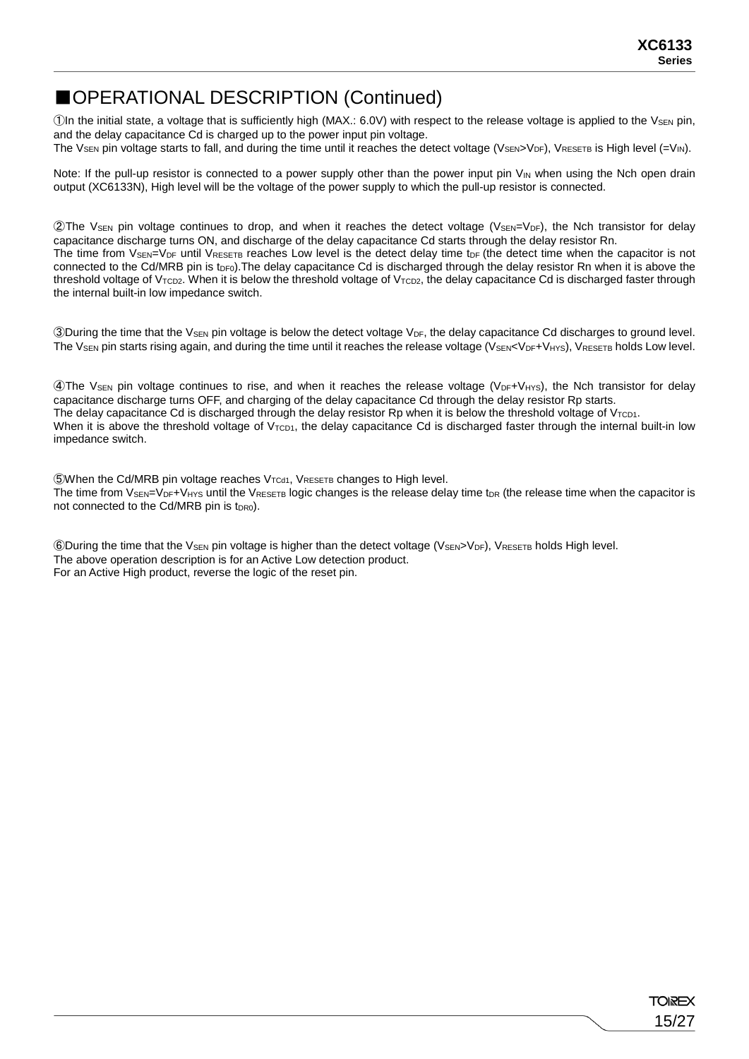## ■OPERATIONAL DESCRIPTION (Continued)

(1) The initial state, a voltage that is sufficiently high (MAX.: 6.0V) with respect to the release voltage is applied to the V<sub>SEN</sub> pin, and the delay capacitance Cd is charged up to the power input pin voltage.

The Vsen pin voltage starts to fall, and during the time until it reaches the detect voltage (VSEN>VDF), VRESETB IS High level  $(=V_{\text{IN}})$ .

Note: If the pull-up resistor is connected to a power supply other than the power input pin  $V_{IN}$  when using the Nch open drain output (XC6133N), High level will be the voltage of the power supply to which the pull-up resistor is connected.

©The V<sub>SEN</sub> pin voltage continues to drop, and when it reaches the detect voltage (V<sub>SEN</sub>=V<sub>DF</sub>), the Nch transistor for delay capacitance discharge turns ON, and discharge of the delay capacitance Cd starts through the delay resistor Rn. The time from  $V_{\text{SEN}}=V_{\text{DF}}$  until  $V_{\text{RESETB}}$  reaches Low level is the detect delay time t<sub>DF</sub> (the detect time when the capacitor is not connected to the Cd/MRB pin is t<sub>DF0</sub>). The delay capacitance Cd is discharged through the delay resistor Rn when it is above the threshold voltage of  $V_{TCD2}$ . When it is below the threshold voltage of  $V_{TCD2}$ , the delay capacitance Cd is discharged faster through the internal built-in low impedance switch.

**3During the time that the V<sub>SEN</sub>** pin voltage is below the detect voltage  $V_{DF}$ , the delay capacitance Cd discharges to ground level. The  $V_{SEN}$  pin starts rising again, and during the time until it reaches the release voltage ( $V_{SEN}< V_{DF}+V_{HYS}$ ),  $V_{RESETB}$  holds Low level.

 $\Phi$ The V<sub>SEN</sub> pin voltage continues to rise, and when it reaches the release voltage (V<sub>DF</sub>+V<sub>HYS</sub>), the Nch transistor for delay capacitance discharge turns OFF, and charging of the delay capacitance Cd through the delay resistor Rp starts. The delay capacitance Cd is discharged through the delay resistor Rp when it is below the threshold voltage of  $V_{\text{TCD1}}$ . When it is above the threshold voltage of  $V<sub>TCD1</sub>$ , the delay capacitance Cd is discharged faster through the internal built-in low impedance switch.

 $\bullet$  When the Cd/MRB pin voltage reaches  $V_{\text{TCd1}}$ ,  $V_{\text{RESETB}}$  changes to High level. The time from  $V_{\text{SEN}}=V_{\text{DF}}+V_{\text{HYS}}$  until the  $V_{\text{RESETB}}$  logic changes is the release delay time t<sub>DR</sub> (the release time when the capacitor is not connected to the Cd/MRB pin is t<sub>DR0</sub>).

**6During the time that the VSEN pin voltage is higher than the detect voltage (VSEN>VDF), VRESETB holds High level.** The above operation description is for an Active Low detection product. For an Active High product, reverse the logic of the reset pin.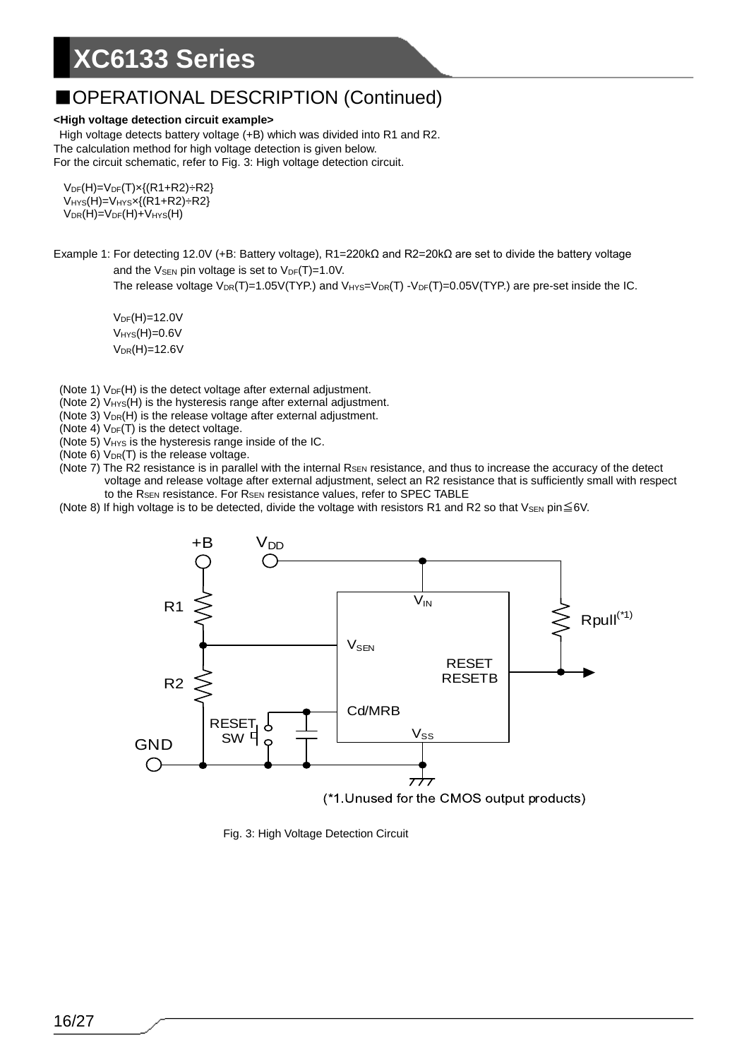### ■OPERATIONAL DESCRIPTION (Continued)

#### **<High voltage detection circuit example>**

High voltage detects battery voltage (+B) which was divided into R1 and R2. The calculation method for high voltage detection is given below. For the circuit schematic, refer to Fig. 3: High voltage detection circuit.

 $V_{DF}(H) = V_{DF}(T) \times \{(R1 + R2) \div R2\}$  $V<sub>HYS</sub>(H)=V<sub>HYS</sub>x{(R1+R2)} ÷ R2$  $V_{DR}(H) = V_{DF}(H) + V_{HYS}(H)$ 

Example 1: For detecting 12.0V (+B: Battery voltage), R1=220kΩ and R2=20kΩ are set to divide the battery voltage and the  $V_{\text{SEN}}$  pin voltage is set to  $V_{\text{DF}}(T)=1.0V$ .

The release voltage  $V_{DR}(T)=1.05V(TYP)$  and  $V_{HYS}=V_{DR}(T)-V_{DF}(T)=0.05V(TYP)$  are pre-set inside the IC.

 $V_{DF}(H) = 12.0V$  $V_{HYS}(H)=0.6V$  $V_{DR}(H) = 12.6V$ 

- (Note 1)  $V_{DF}(H)$  is the detect voltage after external adjustment.
- (Note 2)  $V_{HYS}(H)$  is the hysteresis range after external adjustment.
- (Note 3)  $V_{DR}(H)$  is the release voltage after external adjustment.
- (Note 4)  $V_{DF}(T)$  is the detect voltage.
- (Note 5) V<sub>HYS</sub> is the hysteresis range inside of the IC.
- (Note  $6$ )  $V_{DR}(T)$  is the release voltage.
- (Note  $7$ ) The R2 resistance is in parallel with the internal  $R_{\text{SEN}}$  resistance, and thus to increase the accuracy of the detect voltage and release voltage after external adjustment, select an R2 resistance that is sufficiently small with respect to the R<sub>SEN</sub> resistance. For R<sub>SEN</sub> resistance values, refer to SPEC TABLE
- (Note 8) If high voltage is to be detected, divide the voltage with resistors R1 and R2 so that VsEN pin $\leq$ 6V.



Fig. 3: High Voltage Detection Circuit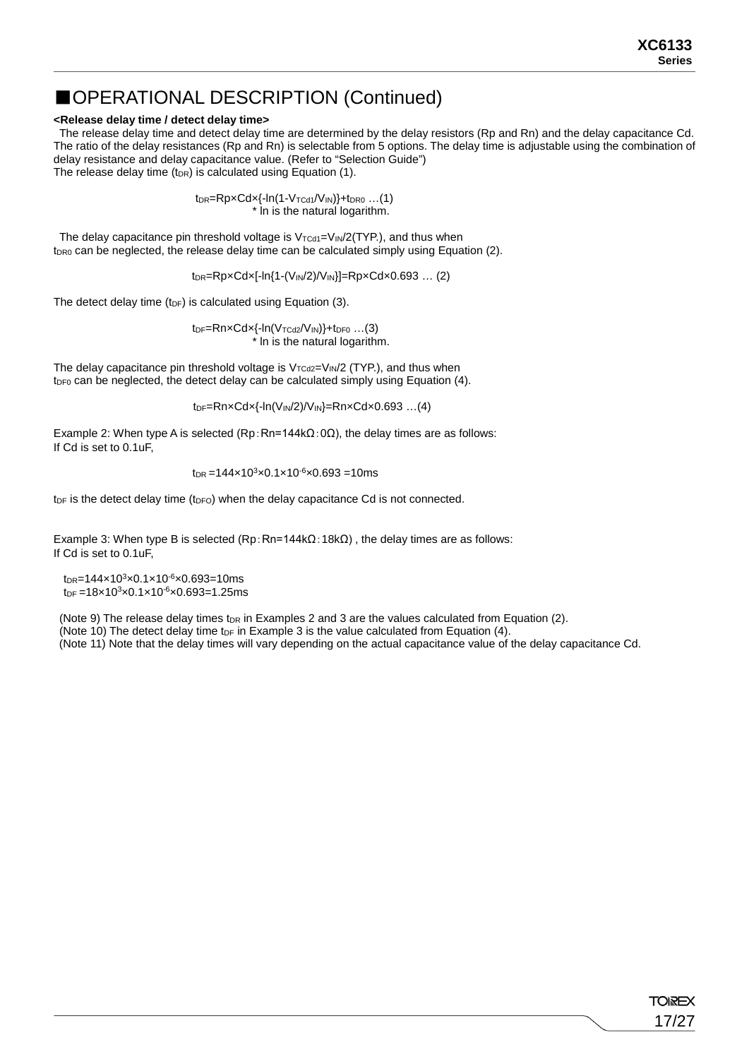### ■OPERATIONAL DESCRIPTION (Continued)

#### **<Release delay time / detect delay time>**

The release delay time and detect delay time are determined by the delay resistors (Rp and Rn) and the delay capacitance Cd. The ratio of the delay resistances (Rp and Rn) is selectable from 5 options. The delay time is adjustable using the combination of delay resistance and delay capacitance value. (Refer to "Selection Guide") The release delay time ( $t_{DR}$ ) is calculated using Equation (1).

> $t_{DR} = RpxCdx{-ln(1-V_{TCd1}/V_{IN})}+t_{DRO}$  ...(1) \* ln is the natural logarithm.

The delay capacitance pin threshold voltage is  $V_{\text{TCd1}}=V_{\text{IN}}/2(\text{TYP.})$ , and thus when  $t_{DR0}$  can be neglected, the release delay time can be calculated simply using Equation (2).

 $t_{DR}$ =Rp×Cd×[-ln{1-(V<sub>IN</sub>/2)/V<sub>IN</sub>}]=Rp×Cd×0.693 ... (2)

The detect delay time (t<sub>DF</sub>) is calculated using Equation (3).

 $tp_F=RnxCdx{-ln(V_{TCd2}/V_{IN})}+tp_{F0}$  ...(3) \* ln is the natural logarithm.

The delay capacitance pin threshold voltage is  $V_{TCd2}=V_{IN}/2$  (TYP.), and thus when  $t_{DF0}$  can be neglected, the detect delay can be calculated simply using Equation (4).

tDF=Rn×Cd×{-ln(VIN/2)/VIN}=Rn×Cd×0.693 …(4)

Example 2: When type A is selected (Rp:Rn=144k $\Omega$ :0 $\Omega$ ), the delay times are as follows: If Cd is set to 0.1uF,

$$
t_{\rm DR} = 144 \times 10^3 \times 0.1 \times 10^{-6} \times 0.693 = 10 \, \text{ms}
$$

 $t_{DF}$  is the detect delay time ( $t_{DF}$ ) when the delay capacitance Cd is not connected.

Example 3: When type B is selected (Rp:Rn=144kΩ:18kΩ), the delay times are as follows: If Cd is set to 0.1uF,

 $t_{DR}$ =144×10<sup>3</sup>×0.1×10<sup>-6</sup>×0.693=10ms  $t_{DF} = 18 \times 10^{3} \times 0.1 \times 10^{-6} \times 0.693 = 1.25$ ms

(Note 9) The release delay times t<sub>DR</sub> in Examples 2 and 3 are the values calculated from Equation (2). (Note 10) The detect delay time t<sub>DF</sub> in Example 3 is the value calculated from Equation  $(4)$ .

(Note 11) Note that the delay times will vary depending on the actual capacitance value of the delay capacitance Cd.

**TOIREX** 17/27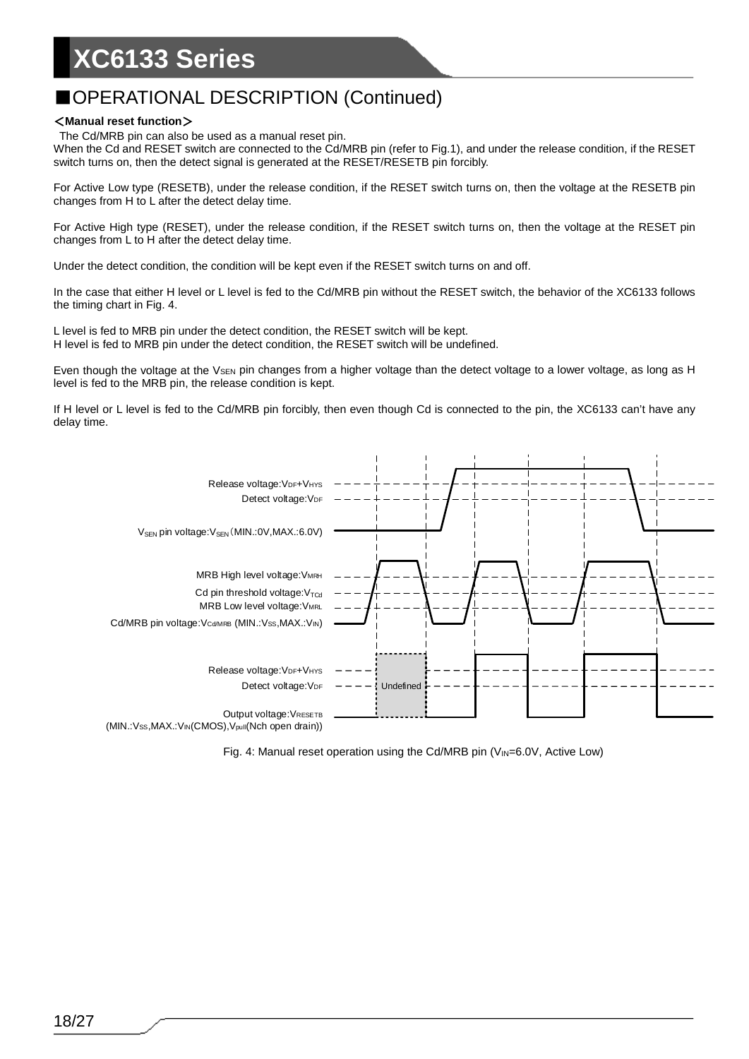## ■OPERATIONAL DESCRIPTION (Continued)

#### <**Manual reset function**>

The Cd/MRB pin can also be used as a manual reset pin.

When the Cd and RESET switch are connected to the Cd/MRB pin (refer to Fig.1), and under the release condition, if the RESET switch turns on, then the detect signal is generated at the RESET/RESETB pin forcibly.

For Active Low type (RESETB), under the release condition, if the RESET switch turns on, then the voltage at the RESETB pin changes from H to L after the detect delay time.

For Active High type (RESET), under the release condition, if the RESET switch turns on, then the voltage at the RESET pin changes from L to H after the detect delay time.

Under the detect condition, the condition will be kept even if the RESET switch turns on and off.

In the case that either H level or L level is fed to the Cd/MRB pin without the RESET switch, the behavior of the XC6133 follows the timing chart in Fig. 4.

L level is fed to MRB pin under the detect condition, the RESET switch will be kept. H level is fed to MRB pin under the detect condition, the RESET switch will be undefined.

Even though the voltage at the  $V_{\text{SEN}}$  pin changes from a higher voltage than the detect voltage to a lower voltage, as long as H level is fed to the MRB pin, the release condition is kept.

If H level or L level is fed to the Cd/MRB pin forcibly, then even though Cd is connected to the pin, the XC6133 can't have any delay time.



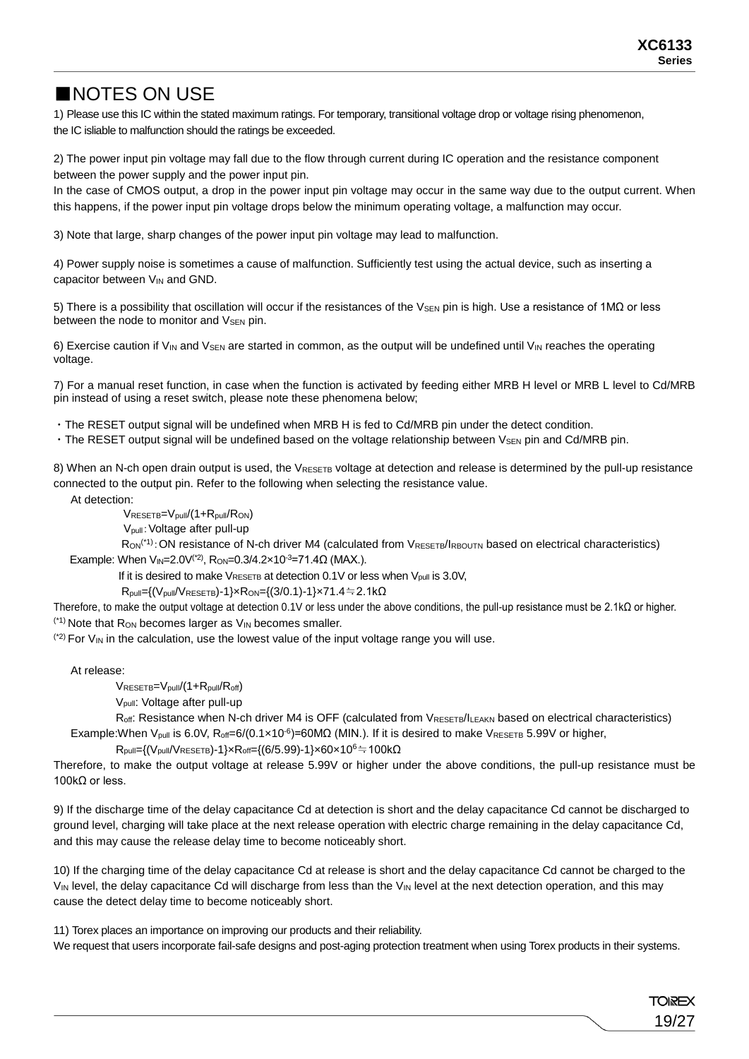19/27

**TOREX** 

## ■NOTES ON USE

1) Please use this IC within the stated maximum ratings. For temporary, transitional voltage drop or voltage rising phenomenon, the IC isliable to malfunction should the ratings be exceeded.

2) The power input pin voltage may fall due to the flow through current during IC operation and the resistance component between the power supply and the power input pin.

In the case of CMOS output, a drop in the power input pin voltage may occur in the same way due to the output current. When this happens, if the power input pin voltage drops below the minimum operating voltage, a malfunction may occur.

3) Note that large, sharp changes of the power input pin voltage may lead to malfunction.

4) Power supply noise is sometimes a cause of malfunction. Sufficiently test using the actual device, such as inserting a capacitor between V<sub>IN</sub> and GND.

5) There is a possibility that oscillation will occur if the resistances of the V<sub>SEN</sub> pin is high. Use a resistance of 1MΩ or less between the node to monitor and V<sub>SEN</sub> pin.

6) Exercise caution if V<sub>IN</sub> and V<sub>SEN</sub> are started in common, as the output will be undefined until V<sub>IN</sub> reaches the operating voltage.

7) For a manual reset function, in case when the function is activated by feeding either MRB H level or MRB L level to Cd/MRB pin instead of using a reset switch, please note these phenomena below;

・The RESET output signal will be undefined when MRB H is fed to Cd/MRB pin under the detect condition.

• The RESET output signal will be undefined based on the voltage relationship between VsEN pin and Cd/MRB pin.

8) When an N-ch open drain output is used, the VRESETB voltage at detection and release is determined by the pull-up resistance connected to the output pin. Refer to the following when selecting the resistance value.

At detection:

VRESETB=Vpull/(1+Rpull/RON)

Vpull:Voltage after pull-up

R<sub>ON</sub><sup>(\*1)</sup>: ON resistance of N-ch driver M4 (calculated from VRESETB/IRBOUTN based on electrical characteristics) Example: When  $V_{IN}=2.0V^{(2)}$ , Ron=0.3/4.2×10<sup>-3</sup>=71.4 $\Omega$  (MAX.).

If it is desired to make  $V_{RESETB}$  at detection 0.1V or less when  $V_{pull}$  is 3.0V,

 $R_{pull}=(V_{pull}/V_{RESETB})-1\} \times R_{ON} = {(3/0.1)}-1\} \times 71.4=2.1k\Omega$ 

Therefore, to make the output voltage at detection 0.1V or less under the above conditions, the pull-up resistance must be 2.1kΩ or higher.  $(1)$  Note that R<sub>ON</sub> becomes larger as  $V_{IN}$  becomes smaller.

 $(2)$  For  $V_{IN}$  in the calculation, use the lowest value of the input voltage range you will use.

At release:

 $V_{RESETB}=V_{pull}/(1+R_{pull}/R_{off})$ 

Vpull: Voltage after pull-up

Roff: Resistance when N-ch driver M4 is OFF (calculated from VRESETB/ILEAKN based on electrical characteristics) Example: When V<sub>pull</sub> is 6.0V, R<sub>off</sub>=6/(0.1×10<sup>-6</sup>)=60MΩ (MIN.). If it is desired to make V<sub>RESETB</sub> 5.99V or higher,

 $R_{pull}=\{(V_{pull}/V_{RESETB})-1\} \times R_{off}=\{(6/5.99)-1\} \times 60 \times 10^6 \doteqdot 100 \ \Omega$ 

Therefore, to make the output voltage at release 5.99V or higher under the above conditions, the pull-up resistance must be 100kΩ or less.

9) If the discharge time of the delay capacitance Cd at detection is short and the delay capacitance Cd cannot be discharged to ground level, charging will take place at the next release operation with electric charge remaining in the delay capacitance Cd, and this may cause the release delay time to become noticeably short.

10) If the charging time of the delay capacitance Cd at release is short and the delay capacitance Cd cannot be charged to the VIN level, the delay capacitance Cd will discharge from less than the VIN level at the next detection operation, and this may cause the detect delay time to become noticeably short.

11) Torex places an importance on improving our products and their reliability.

We request that users incorporate fail-safe designs and post-aging protection treatment when using Torex products in their systems.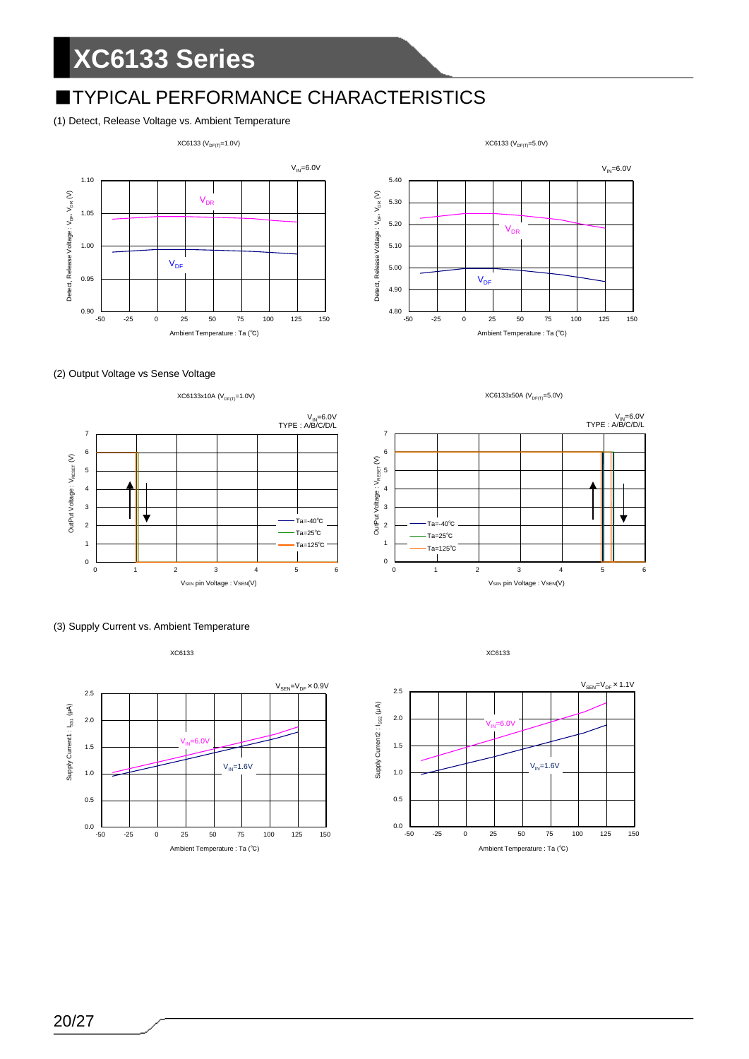## **■TYPICAL PERFORMANCE CHARACTERISTICS**

#### (1) Detect, Release Voltage vs. Ambient Temperature

 $XC6133 (V_{DF(T)}=1.0V)$ 

 $XC6133 (V_{DF(T)}=5.0V)$ 

















XC6133

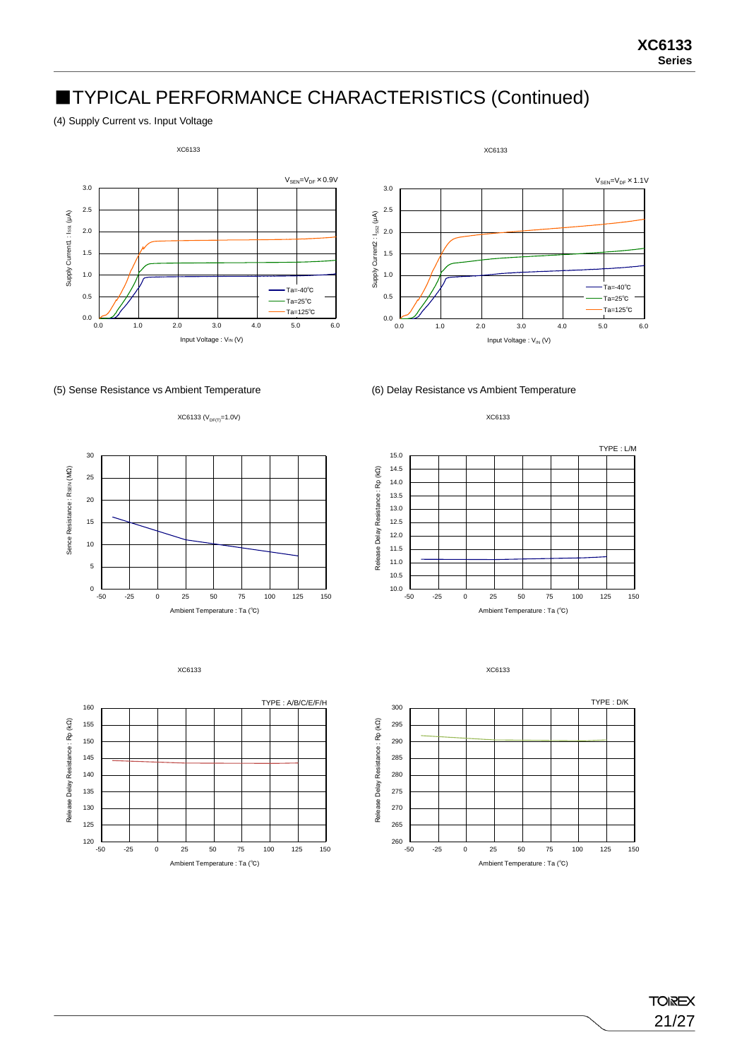## ■TYPICAL PERFORMANCE CHARACTERISTICS (Continued)

(4) Supply Current vs. Input Voltage







 $XC6133 (V_{DF(T)}=1.0V)$ 





XC6133





XC6133



**TOIREX** 21/27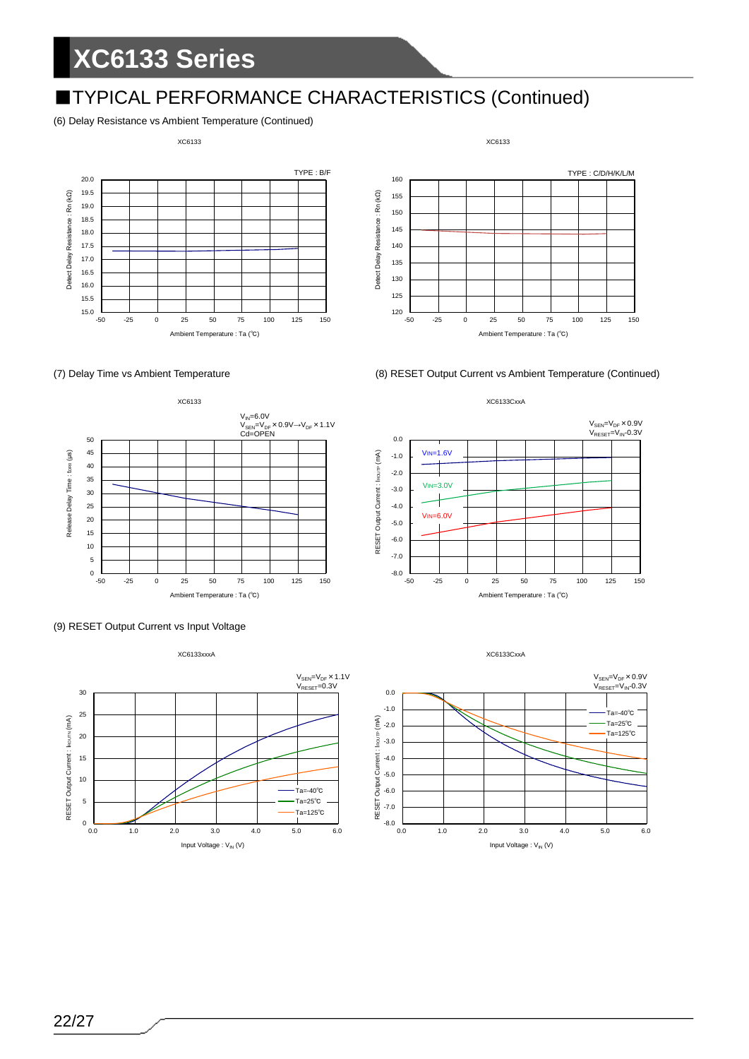## ■TYPICAL PERFORMANCE CHARACTERISTICS (Continued)

#### (6) Delay Resistance vs Ambient Temperature (Continued)

#### XC6133





(7) Delay Time vs Ambient Temperature (8) RESET Output Current vs Ambient Temperature (Continued)











22/27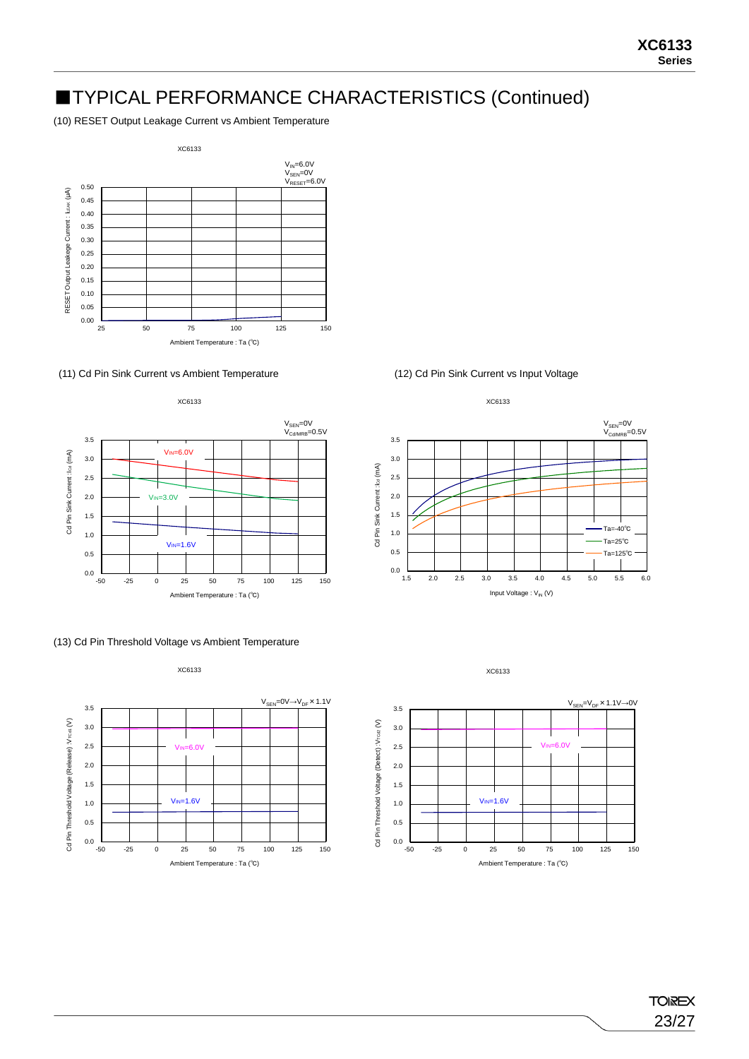## ■TYPICAL PERFORMANCE CHARACTERISTICS (Continued)

(10) RESET Output Leakage Current vs Ambient Temperature



#### (11) Cd Pin Sink Current vs Ambient Temperature (12) Cd Pin Sink Current vs Input Voltage



#### (13) Cd Pin Threshold Voltage vs Ambient Temperature

XC6133







**TOIREX** 23/27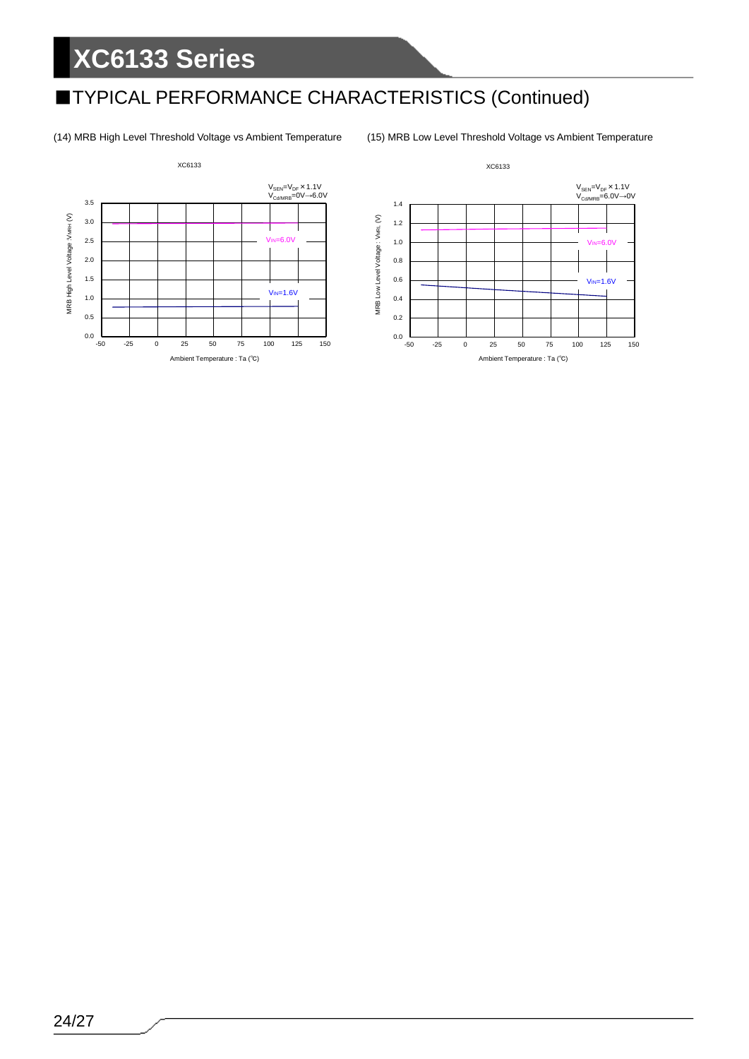## ■TYPICAL PERFORMANCE CHARACTERISTICS (Continued)

(14) MRB High Level Threshold Voltage vs Ambient Temperature (15) MRB Low Level Threshold Voltage vs Ambient Temperature



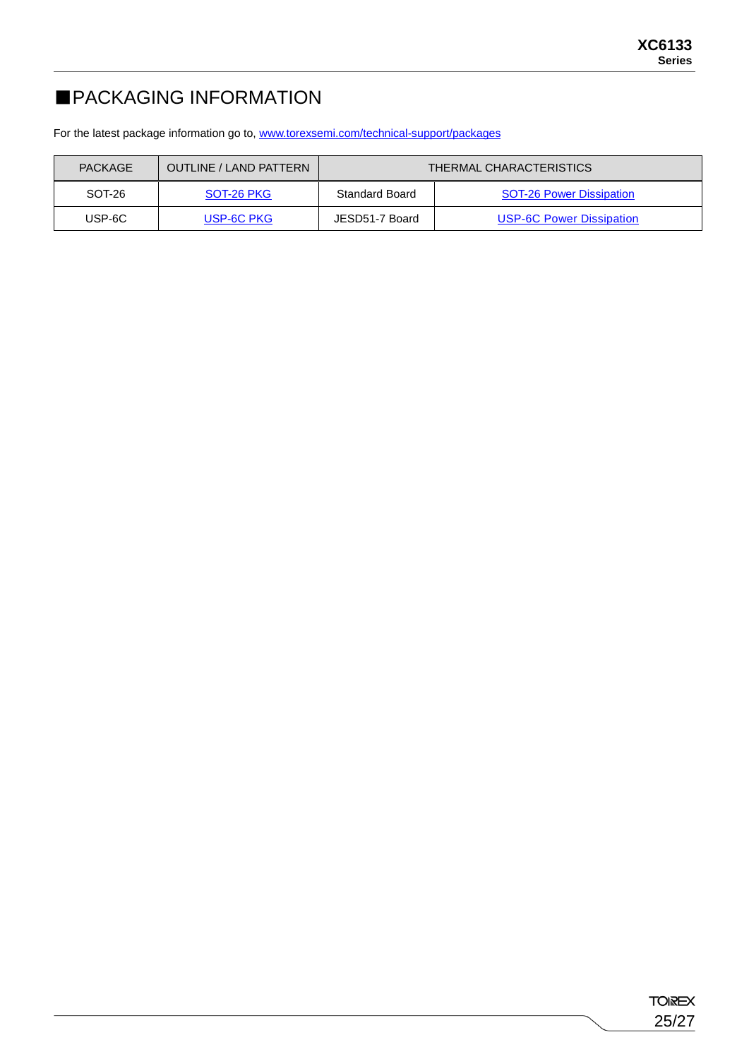## ■PACKAGING INFORMATION

For the latest package information go to, [www.torexsemi.com/technical-support/packages](https://www.torexsemi.com/technical-support/packages/)

| <b>PACKAGE</b> | <b>OUTLINE / LAND PATTERN</b> | <b>THERMAL CHARACTERISTICS</b> |                                 |  |  |  |
|----------------|-------------------------------|--------------------------------|---------------------------------|--|--|--|
| SOT-26         | SOT-26 PKG                    | <b>Standard Board</b>          | <b>SOT-26 Power Dissipation</b> |  |  |  |
| USP-6C         | USP-6C PKG I                  | JESD51-7 Board                 | <b>USP-6C Power Dissipation</b> |  |  |  |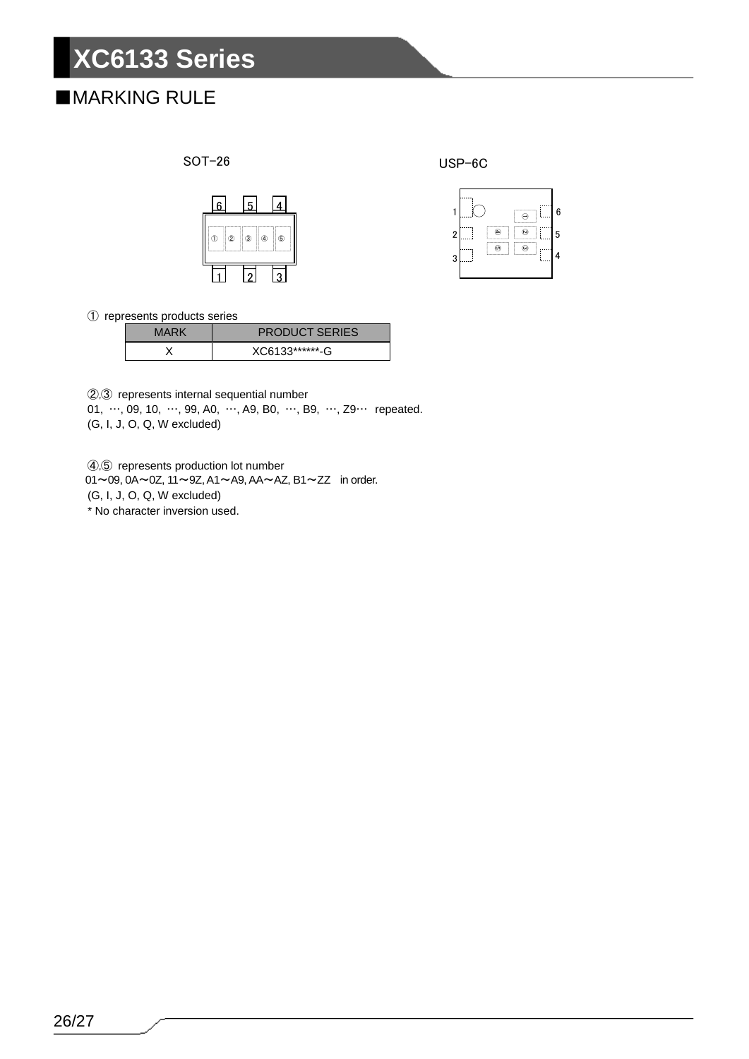## ■MARKING RULE



USP-6C



represents products series

| MARK | <b>PRODUCT SERIES</b> |
|------|-----------------------|
|      | XC6133*******-G       |

,③ represents internal sequential number

01, …, 09, 10, …, 99, A0, …, A9, B0, …, B9, …, Z9… repeated. (G, I, J, O, Q, W excluded)

,⑤ represents production lot number

~09, 0A~0Z, 11~9Z, A1~A9, AA~AZ, B1~ZZ in order.

(G, I, J, O, Q, W excluded)

\* No character inversion used.